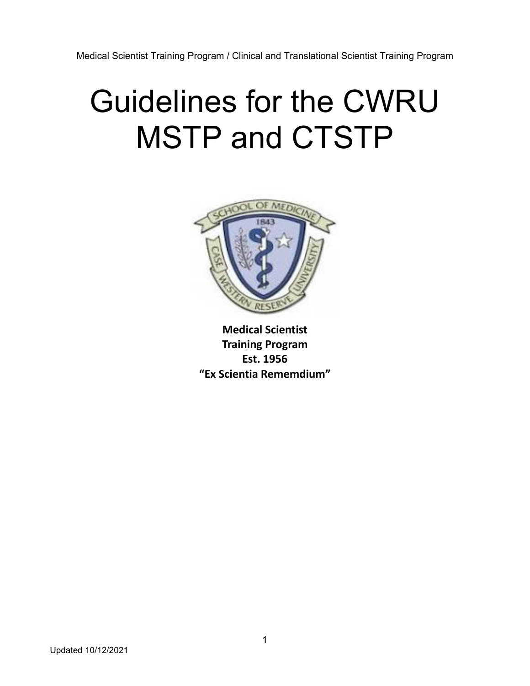# Guidelines for the CWRU MSTP and CTSTP



**Medical Scientist Training Program Est. 1956 "Ex Scientia Rememdium"**

Updated 10/12/2021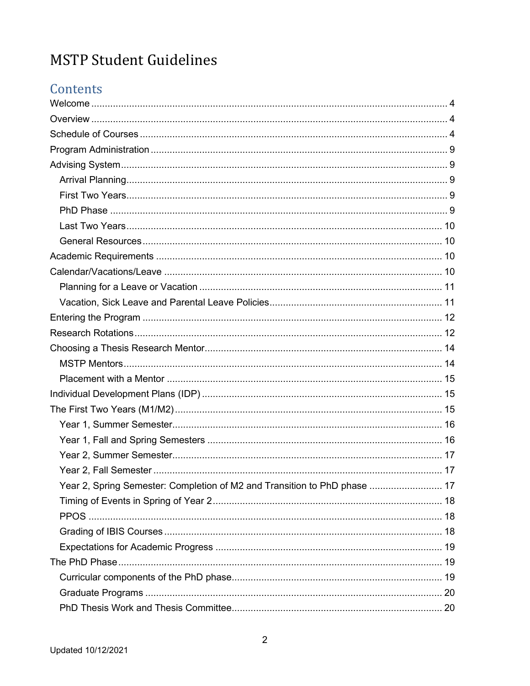# **MSTP Student Guidelines**

# Contents

| Year 2, Spring Semester: Completion of M2 and Transition to PhD phase  17 |  |
|---------------------------------------------------------------------------|--|
|                                                                           |  |
|                                                                           |  |
|                                                                           |  |
|                                                                           |  |
|                                                                           |  |
|                                                                           |  |
|                                                                           |  |
|                                                                           |  |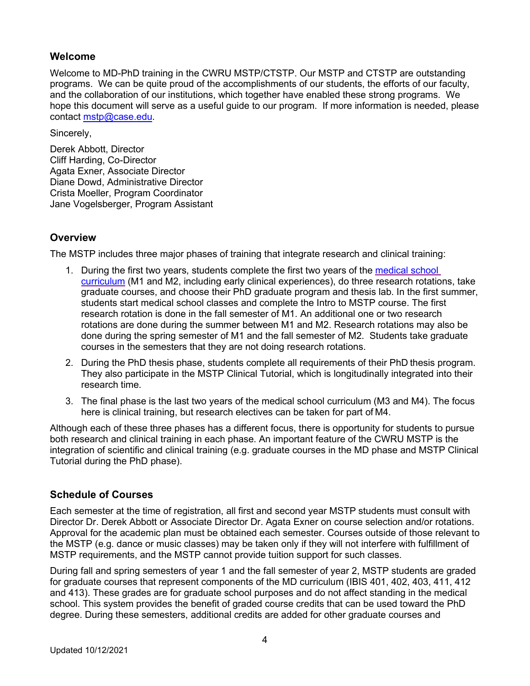# **Welcome**

Welcome to MD-PhD training in the CWRU MSTP/CTSTP. Our MSTP and CTSTP are outstanding programs. We can be quite proud of the accomplishments of our students, the efforts of our faculty, and the collaboration of our institutions, which together have enabled these strong programs. We hope this document will serve as a useful guide to our program. If more information is needed, please contact mstp@case.edu.

Sincerely,

Derek Abbott, Director Cliff Harding, Co-Director Agata Exner, Associate Director Diane Dowd, Administrative Director Crista Moeller, Program Coordinator Jane Vogelsberger, Program Assistant

# **Overview**

The MSTP includes three major phases of training that integrate research and clinical training:

- 1. During the first two years, students complete the first two years of the medical school curriculum (M1 and M2, including early clinical experiences), do three research rotations, take graduate courses, and choose their PhD graduate program and thesis lab. In the first summer, students start medical school classes and complete the Intro to MSTP course. The first research rotation is done in the fall semester of M1. An additional one or two research rotations are done during the summer between M1 and M2. Research rotations may also be done during the spring semester of M1 and the fall semester of M2. Students take graduate courses in the semesters that they are not doing research rotations.
- 2. During the PhD thesis phase, students complete all requirements of their PhD thesis program. They also participate in the MSTP Clinical Tutorial, which is longitudinally integrated into their research time.
- 3. The final phase is the last two years of the medical school curriculum (M3 and M4). The focus here is clinical training, but research electives can be taken for part of M4.

Although each of these three phases has a different focus, there is opportunity for students to pursue both research and clinical training in each phase. An important feature of the CWRU MSTP is the integration of scientific and clinical training (e.g. graduate courses in the MD phase and MSTP Clinical Tutorial during the PhD phase).

# **Schedule of Courses**

Each semester at the time of registration, all first and second year MSTP students must consult with Director Dr. Derek Abbott or Associate Director Dr. Agata Exner on course selection and/or rotations. Approval for the academic plan must be obtained each semester. Courses outside of those relevant to the MSTP (e.g. dance or music classes) may be taken only if they will not interfere with fulfillment of MSTP requirements, and the MSTP cannot provide tuition support for such classes.

During fall and spring semesters of year 1 and the fall semester of year 2, MSTP students are graded for graduate courses that represent components of the MD curriculum (IBIS 401, 402, 403, 411, 412 and 413). These grades are for graduate school purposes and do not affect standing in the medical school. This system provides the benefit of graded course credits that can be used toward the PhD degree. During these semesters, additional credits are added for other graduate courses and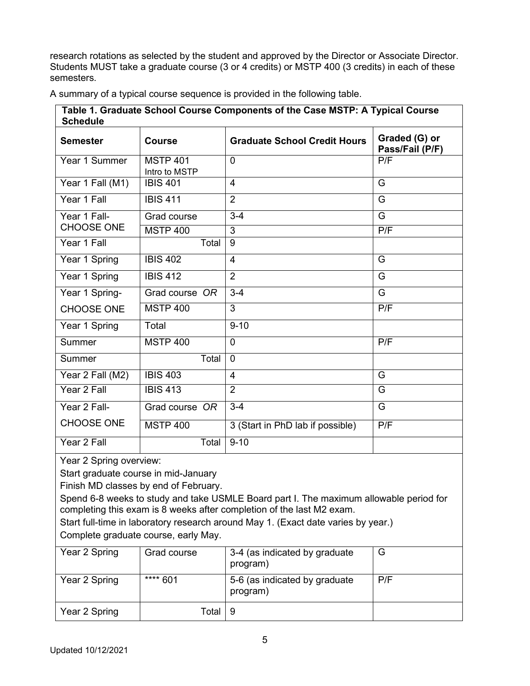research rotations as selected by the student and approved by the Director or Associate Director. Students MUST take a graduate course (3 or 4 credits) or MSTP 400 (3 credits) in each of these semesters.

| Table 1. Graduate School Course Components of the Case MSTP: A Typical Course<br><b>Schedule</b> |                                  |                                     |                                  |
|--------------------------------------------------------------------------------------------------|----------------------------------|-------------------------------------|----------------------------------|
| <b>Semester</b>                                                                                  | <b>Course</b>                    | <b>Graduate School Credit Hours</b> | Graded (G) or<br>Pass/Fail (P/F) |
| Year 1 Summer                                                                                    | <b>MSTP 401</b><br>Intro to MSTP | $\overline{0}$                      | P/F                              |
| Year 1 Fall (M1)                                                                                 | <b>IBIS 401</b>                  | 4                                   | G                                |
| Year 1 Fall                                                                                      | <b>IBIS 411</b>                  | 2                                   | G                                |
| Year 1 Fall-                                                                                     | Grad course                      | $3-4$                               | G                                |
| <b>CHOOSE ONE</b>                                                                                | <b>MSTP 400</b>                  | 3                                   | P/F                              |
| Year 1 Fall                                                                                      | Total                            | 9                                   |                                  |
| Year 1 Spring                                                                                    | <b>IBIS 402</b>                  | $\overline{4}$                      | G                                |
| Year 1 Spring                                                                                    | <b>IBIS 412</b>                  | $\overline{2}$                      | G                                |
| Year 1 Spring-                                                                                   | Grad course OR                   | $3 - 4$                             | G                                |
| <b>CHOOSE ONE</b>                                                                                | <b>MSTP 400</b>                  | $\overline{3}$                      | P/F                              |
| Year 1 Spring                                                                                    | Total                            | $9 - 10$                            |                                  |
| Summer                                                                                           | <b>MSTP 400</b>                  | $\Omega$                            | P/F                              |
| Summer                                                                                           | Total                            | $\overline{0}$                      |                                  |
| Year 2 Fall (M2)                                                                                 | <b>IBIS 403</b>                  | 4                                   | G                                |
| Year 2 Fall                                                                                      | <b>IBIS 413</b>                  | $\overline{2}$                      | G                                |
| Year 2 Fall-                                                                                     | Grad course OR                   | $3 - 4$                             | G                                |
| <b>CHOOSE ONE</b>                                                                                | <b>MSTP 400</b>                  | 3 (Start in PhD lab if possible)    | P/F                              |
| Year 2 Fall                                                                                      | Total                            | $9 - 10$                            |                                  |

A summary of a typical course sequence is provided in the following table.

Year 2 Spring overview:

Start graduate course in mid-January

Finish MD classes by end of February.

Spend 6-8 weeks to study and take USMLE Board part I. The maximum allowable period for completing this exam is 8 weeks after completion of the last M2 exam.

Start full-time in laboratory research around May 1. (Exact date varies by year.)

Complete graduate course, early May.

| Year 2 Spring | Grad course | 3-4 (as indicated by graduate<br>program) | G   |
|---------------|-------------|-------------------------------------------|-----|
| Year 2 Spring | **** 601    | 5-6 (as indicated by graduate<br>program) | P/F |
| Year 2 Spring | Total       | 9                                         |     |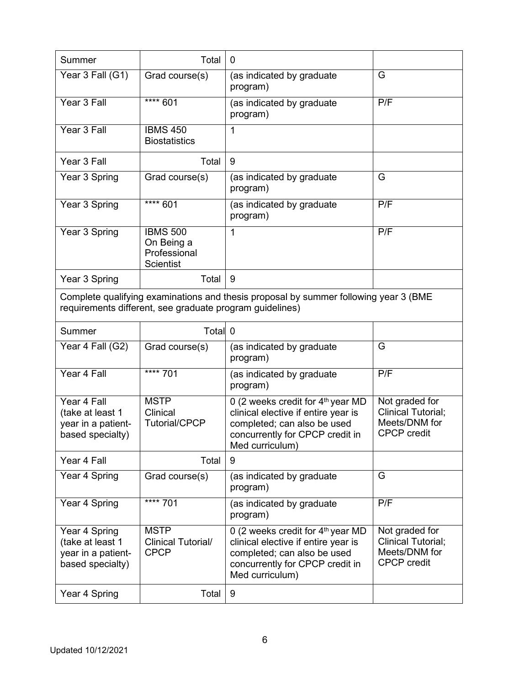| Summer                                                                                                                                           | Total                                                             | $\mathbf 0$                                                                                                                                                               |                                                                             |
|--------------------------------------------------------------------------------------------------------------------------------------------------|-------------------------------------------------------------------|---------------------------------------------------------------------------------------------------------------------------------------------------------------------------|-----------------------------------------------------------------------------|
| Year 3 Fall (G1)                                                                                                                                 | Grad course(s)                                                    | (as indicated by graduate<br>program)                                                                                                                                     | G                                                                           |
| Year 3 Fall                                                                                                                                      | $\frac{1}{11111}$ 601                                             | (as indicated by graduate<br>program)                                                                                                                                     | P/F                                                                         |
| Year 3 Fall                                                                                                                                      | <b>IBMS 450</b><br><b>Biostatistics</b>                           | $\mathbf{1}$                                                                                                                                                              |                                                                             |
| Year 3 Fall                                                                                                                                      | Total                                                             | 9                                                                                                                                                                         |                                                                             |
| Year 3 Spring                                                                                                                                    | Grad course(s)                                                    | (as indicated by graduate<br>program)                                                                                                                                     | G                                                                           |
| Year 3 Spring                                                                                                                                    | $*** 601$                                                         | (as indicated by graduate<br>program)                                                                                                                                     | P/F                                                                         |
| Year 3 Spring                                                                                                                                    | <b>IBMS 500</b><br>On Being a<br>Professional<br><b>Scientist</b> | 1                                                                                                                                                                         | P/F                                                                         |
| Year 3 Spring                                                                                                                                    | Total                                                             | 9                                                                                                                                                                         |                                                                             |
| Complete qualifying examinations and thesis proposal by summer following year 3 (BME<br>requirements different, see graduate program guidelines) |                                                                   |                                                                                                                                                                           |                                                                             |
| Summer                                                                                                                                           | Total 0                                                           |                                                                                                                                                                           |                                                                             |
| Year 4 Fall (G2)                                                                                                                                 | Grad course(s)                                                    | (as indicated by graduate<br>program)                                                                                                                                     | G                                                                           |
| Year 4 Fall                                                                                                                                      | **** 701                                                          | (as indicated by graduate<br>program)                                                                                                                                     | P/F                                                                         |
| Year 4 Fall<br>(take at least 1<br>year in a patient-<br>based specialty)                                                                        | <b>MSTP</b><br>Clinical<br><b>Tutorial/CPCP</b>                   | 0 (2 weeks credit for 4 <sup>th</sup> year MD<br>clinical elective if entire year is<br>completed; can also be used<br>concurrently for CPCP credit in<br>Med curriculum) | Not graded for<br>Clinical Tutorial;<br>Meets/DNM for<br><b>CPCP</b> credit |
| Year 4 Fall                                                                                                                                      | Total                                                             | 9                                                                                                                                                                         |                                                                             |
| Year 4 Spring                                                                                                                                    | Grad course(s)                                                    | (as indicated by graduate<br>program)                                                                                                                                     | G                                                                           |
| Year 4 Spring                                                                                                                                    | $\overline{\phantom{1}}$ **** 701                                 | (as indicated by graduate<br>program)                                                                                                                                     | P/F                                                                         |
| Year 4 Spring<br>(take at least 1<br>year in a patient-<br>based specialty)                                                                      | <b>MSTP</b><br>Clinical Tutorial/<br><b>CPCP</b>                  | 0 (2 weeks credit for 4 <sup>th</sup> year MD<br>clinical elective if entire year is<br>completed; can also be used<br>concurrently for CPCP credit in<br>Med curriculum) | Not graded for<br>Clinical Tutorial;<br>Meets/DNM for<br><b>CPCP</b> credit |
| Year 4 Spring                                                                                                                                    | Total                                                             | 9                                                                                                                                                                         |                                                                             |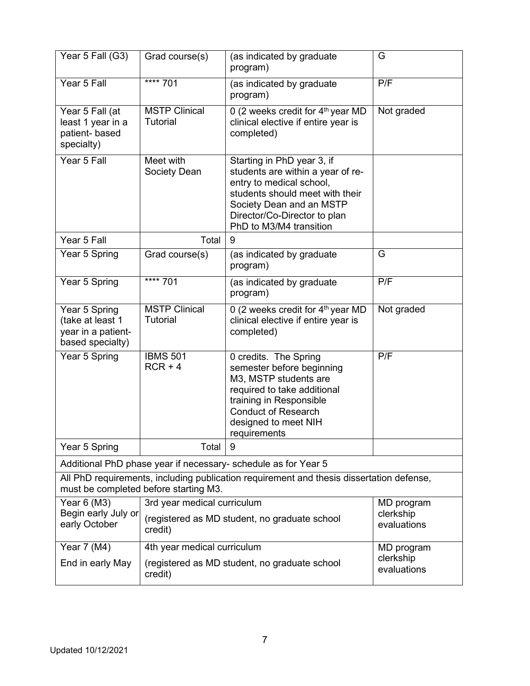| Year 5 Fall (G3)                                                                                                                  | Grad course(s)                                                                       | (as indicated by graduate<br>program)                                                                                                                                                                                 | G                        |
|-----------------------------------------------------------------------------------------------------------------------------------|--------------------------------------------------------------------------------------|-----------------------------------------------------------------------------------------------------------------------------------------------------------------------------------------------------------------------|--------------------------|
| Year 5 Fall                                                                                                                       | **** 701                                                                             | (as indicated by graduate<br>program)                                                                                                                                                                                 | P/F                      |
| Year 5 Fall (at<br>least 1 year in a<br>patient- based<br>specialty)                                                              | <b>MSTP Clinical</b><br>Tutorial                                                     | 0 (2 weeks credit for 4 <sup>th</sup> year MD<br>clinical elective if entire year is<br>completed)                                                                                                                    | Not graded               |
| Year 5 Fall                                                                                                                       | Meet with<br>Society Dean                                                            | Starting in PhD year 3, if<br>students are within a year of re-<br>entry to medical school,<br>students should meet with their<br>Society Dean and an MSTP<br>Director/Co-Director to plan<br>PhD to M3/M4 transition |                          |
| Year 5 Fall                                                                                                                       | Total                                                                                | 9                                                                                                                                                                                                                     |                          |
| Year 5 Spring                                                                                                                     | Grad course(s)                                                                       | (as indicated by graduate<br>program)                                                                                                                                                                                 | G                        |
| Year 5 Spring                                                                                                                     | $*** 701$                                                                            | (as indicated by graduate<br>program)                                                                                                                                                                                 | P/F                      |
| Year 5 Spring<br>(take at least 1<br>year in a patient-<br>based specialty)                                                       | <b>MSTP Clinical</b><br>Tutorial                                                     | 0 (2 weeks credit for $4th$ year MD<br>clinical elective if entire year is<br>completed)                                                                                                                              | Not graded               |
| Year 5 Spring                                                                                                                     | <b>IBMS 501</b><br>$RCR + 4$                                                         | 0 credits. The Spring<br>semester before beginning<br>M3, MSTP students are<br>required to take additional<br>training in Responsible<br><b>Conduct of Research</b><br>designed to meet NIH<br>requirements           | P/F                      |
| Year 5 Spring                                                                                                                     | Total                                                                                | 9                                                                                                                                                                                                                     |                          |
|                                                                                                                                   |                                                                                      | Additional PhD phase year if necessary- schedule as for Year 5                                                                                                                                                        |                          |
| All PhD requirements, including publication requirement and thesis dissertation defense,<br>must be completed before starting M3. |                                                                                      |                                                                                                                                                                                                                       |                          |
| Year 6 (M3)                                                                                                                       | 3rd year medical curriculum<br>MD program                                            |                                                                                                                                                                                                                       |                          |
| Begin early July or<br>early October                                                                                              | (registered as MD student, no graduate school<br>credit)                             |                                                                                                                                                                                                                       | clerkship<br>evaluations |
| Year 7 (M4)                                                                                                                       | 4th year medical curriculum                                                          |                                                                                                                                                                                                                       | MD program               |
| End in early May                                                                                                                  | clerkship<br>(registered as MD student, no graduate school<br>evaluations<br>credit) |                                                                                                                                                                                                                       |                          |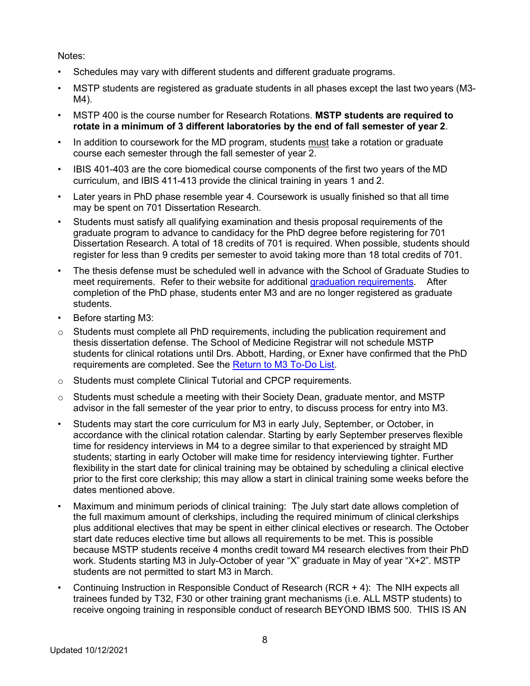Notes:

- Schedules may vary with different students and different graduate programs.
- MSTP students are registered as graduate students in all phases except the last two years (M3- M4).
- MSTP 400 is the course number for Research Rotations. **MSTP students are required to rotate in a minimum of 3 different laboratories by the end of fall semester of year 2**.
- In addition to coursework for the MD program, students must take a rotation or graduate course each semester through the fall semester of year 2.
- IBIS 401-403 are the core biomedical course components of the first two years of the MD curriculum, and IBIS 411-413 provide the clinical training in years 1 and 2.
- Later years in PhD phase resemble year 4. Coursework is usually finished so that all time may be spent on 701 Dissertation Research.
- Students must satisfy all qualifying examination and thesis proposal requirements of the graduate program to advance to candidacy for the PhD degree before registering for 701 Dissertation Research. A total of 18 credits of 701 is required. When possible, students should register for less than 9 credits per semester to avoid taking more than 18 total credits of 701.
- The thesis defense must be scheduled well in advance with the School of Graduate Studies to meet requirements. Refer to their website for additional graduation requirements. After completion of the PhD phase, students enter M3 and are no longer registered as graduate students.
- Before starting M3:
- $\circ$  Students must complete all PhD requirements, including the publication requirement and thesis dissertation defense. The School of Medicine Registrar will not schedule MSTP students for clinical rotations until Drs. Abbott, Harding, or Exner have confirmed that the PhD requirements are completed. See the Return to M3 To-Do List.
- o Students must complete Clinical Tutorial and CPCP requirements.
- $\circ$  Students must schedule a meeting with their Society Dean, graduate mentor, and MSTP advisor in the fall semester of the year prior to entry, to discuss process for entry into M3.
- Students may start the core curriculum for M3 in early July, September, or October, in accordance with the clinical rotation calendar. Starting by early September preserves flexible time for residency interviews in M4 to a degree similar to that experienced by straight MD students; starting in early October will make time for residency interviewing tighter. Further flexibility in the start date for clinical training may be obtained by scheduling a clinical elective prior to the first core clerkship; this may allow a start in clinical training some weeks before the dates mentioned above.
- Maximum and minimum periods of clinical training: The July start date allows completion of the full maximum amount of clerkships, including the required minimum of clinical clerkships plus additional electives that may be spent in either clinical electives or research. The October start date reduces elective time but allows all requirements to be met. This is possible because MSTP students receive 4 months credit toward M4 research electives from their PhD work. Students starting M3 in July-October of year "X" graduate in May of year "X+2". MSTP students are not permitted to start M3 in March.
- Continuing Instruction in Responsible Conduct of Research (RCR + 4): The NIH expects all trainees funded by T32, F30 or other training grant mechanisms (i.e. ALL MSTP students) to receive ongoing training in responsible conduct of research BEYOND IBMS 500. THIS IS AN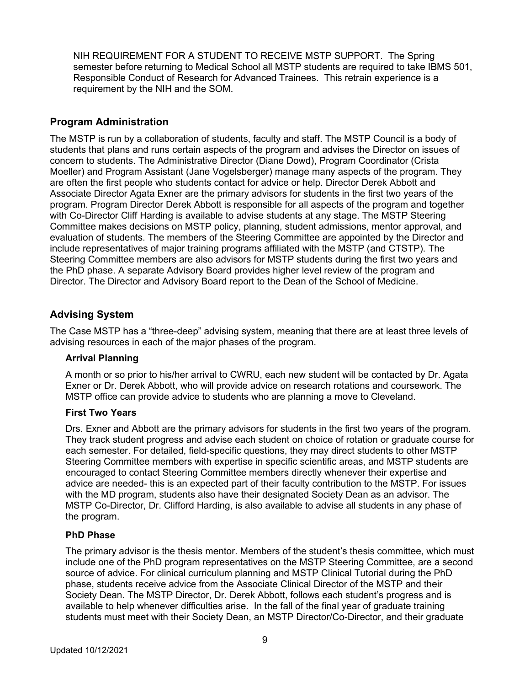NIH REQUIREMENT FOR A STUDENT TO RECEIVE MSTP SUPPORT. The Spring semester before returning to Medical School all MSTP students are required to take IBMS 501, Responsible Conduct of Research for Advanced Trainees. This retrain experience is a requirement by the NIH and the SOM.

## **Program Administration**

The MSTP is run by a collaboration of students, faculty and staff. The MSTP Council is a body of students that plans and runs certain aspects of the program and advises the Director on issues of concern to students. The Administrative Director (Diane Dowd), Program Coordinator (Crista Moeller) and Program Assistant (Jane Vogelsberger) manage many aspects of the program. They are often the first people who students contact for advice or help. Director Derek Abbott and Associate Director Agata Exner are the primary advisors for students in the first two years of the program. Program Director Derek Abbott is responsible for all aspects of the program and together with Co-Director Cliff Harding is available to advise students at any stage. The MSTP Steering Committee makes decisions on MSTP policy, planning, student admissions, mentor approval, and evaluation of students. The members of the Steering Committee are appointed by the Director and include representatives of major training programs affiliated with the MSTP (and CTSTP). The Steering Committee members are also advisors for MSTP students during the first two years and the PhD phase. A separate Advisory Board provides higher level review of the program and Director. The Director and Advisory Board report to the Dean of the School of Medicine.

#### **Advising System**

The Case MSTP has a "three-deep" advising system, meaning that there are at least three levels of advising resources in each of the major phases of the program.

#### **Arrival Planning**

A month or so prior to his/her arrival to CWRU, each new student will be contacted by Dr. Agata Exner or Dr. Derek Abbott, who will provide advice on research rotations and coursework. The MSTP office can provide advice to students who are planning a move to Cleveland.

#### **First Two Years**

Drs. Exner and Abbott are the primary advisors for students in the first two years of the program. They track student progress and advise each student on choice of rotation or graduate course for each semester. For detailed, field-specific questions, they may direct students to other MSTP Steering Committee members with expertise in specific scientific areas, and MSTP students are encouraged to contact Steering Committee members directly whenever their expertise and advice are needed- this is an expected part of their faculty contribution to the MSTP. For issues with the MD program, students also have their designated Society Dean as an advisor. The MSTP Co-Director, Dr. Clifford Harding, is also available to advise all students in any phase of the program.

#### **PhD Phase**

The primary advisor is the thesis mentor. Members of the student's thesis committee, which must include one of the PhD program representatives on the MSTP Steering Committee, are a second source of advice. For clinical curriculum planning and MSTP Clinical Tutorial during the PhD phase, students receive advice from the Associate Clinical Director of the MSTP and their Society Dean. The MSTP Director, Dr. Derek Abbott, follows each student's progress and is available to help whenever difficulties arise. In the fall of the final year of graduate training students must meet with their Society Dean, an MSTP Director/Co-Director, and their graduate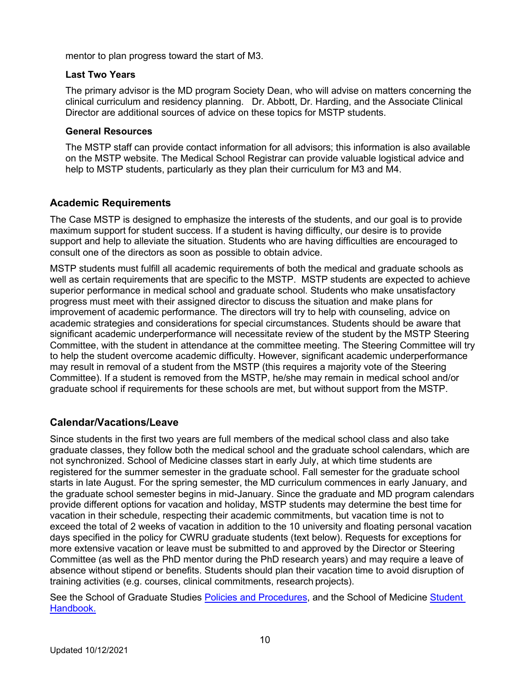mentor to plan progress toward the start of M3.

#### **Last Two Years**

The primary advisor is the MD program Society Dean, who will advise on matters concerning the clinical curriculum and residency planning. Dr. Abbott, Dr. Harding, and the Associate Clinical Director are additional sources of advice on these topics for MSTP students.

#### **General Resources**

The MSTP staff can provide contact information for all advisors; this information is also available on the MSTP website. The Medical School Registrar can provide valuable logistical advice and help to MSTP students, particularly as they plan their curriculum for M3 and M4.

#### **Academic Requirements**

The Case MSTP is designed to emphasize the interests of the students, and our goal is to provide maximum support for student success. If a student is having difficulty, our desire is to provide support and help to alleviate the situation. Students who are having difficulties are encouraged to consult one of the directors as soon as possible to obtain advice.

MSTP students must fulfill all academic requirements of both the medical and graduate schools as well as certain requirements that are specific to the MSTP. MSTP students are expected to achieve superior performance in medical school and graduate school. Students who make unsatisfactory progress must meet with their assigned director to discuss the situation and make plans for improvement of academic performance. The directors will try to help with counseling, advice on academic strategies and considerations for special circumstances. Students should be aware that significant academic underperformance will necessitate review of the student by the MSTP Steering Committee, with the student in attendance at the committee meeting. The Steering Committee will try to help the student overcome academic difficulty. However, significant academic underperformance may result in removal of a student from the MSTP (this requires a majority vote of the Steering Committee). If a student is removed from the MSTP, he/she may remain in medical school and/or graduate school if requirements for these schools are met, but without support from the MSTP.

#### **Calendar/Vacations/Leave**

Since students in the first two years are full members of the medical school class and also take graduate classes, they follow both the medical school and the graduate school calendars, which are not synchronized. School of Medicine classes start in early July, at which time students are registered for the summer semester in the graduate school. Fall semester for the graduate school starts in late August. For the spring semester, the MD curriculum commences in early January, and the graduate school semester begins in mid-January. Since the graduate and MD program calendars provide different options for vacation and holiday, MSTP students may determine the best time for vacation in their schedule, respecting their academic commitments, but vacation time is not to exceed the total of 2 weeks of vacation in addition to the 10 university and floating personal vacation days specified in the policy for CWRU graduate students (text below). Requests for exceptions for more extensive vacation or leave must be submitted to and approved by the Director or Steering Committee (as well as the PhD mentor during the PhD research years) and may require a leave of absence without stipend or benefits. Students should plan their vacation time to avoid disruption of training activities (e.g. courses, clinical commitments, research projects).

See the School of Graduate Studies Policies and Procedures, and the School of Medicine Student Handbook.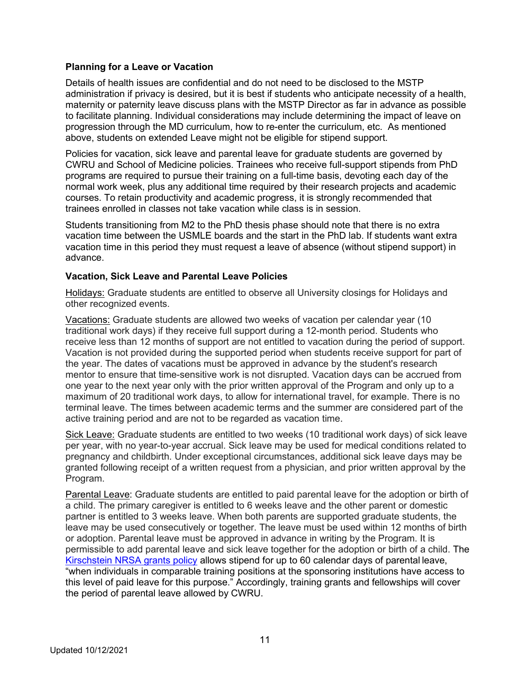#### **Planning for a Leave or Vacation**

Details of health issues are confidential and do not need to be disclosed to the MSTP administration if privacy is desired, but it is best if students who anticipate necessity of a health, maternity or paternity leave discuss plans with the MSTP Director as far in advance as possible to facilitate planning. Individual considerations may include determining the impact of leave on progression through the MD curriculum, how to re-enter the curriculum, etc. As mentioned above, students on extended Leave might not be eligible for stipend support.

Policies for vacation, sick leave and parental leave for graduate students are governed by CWRU and School of Medicine policies. Trainees who receive full-support stipends from PhD programs are required to pursue their training on a full-time basis, devoting each day of the normal work week, plus any additional time required by their research projects and academic courses. To retain productivity and academic progress, it is strongly recommended that trainees enrolled in classes not take vacation while class is in session.

Students transitioning from M2 to the PhD thesis phase should note that there is no extra vacation time between the USMLE boards and the start in the PhD lab. If students want extra vacation time in this period they must request a leave of absence (without stipend support) in advance.

#### **Vacation, Sick Leave and Parental Leave Policies**

Holidays: Graduate students are entitled to observe all University closings for Holidays and other recognized events.

Vacations: Graduate students are allowed two weeks of vacation per calendar year (10 traditional work days) if they receive full support during a 12-month period. Students who receive less than 12 months of support are not entitled to vacation during the period of support. Vacation is not provided during the supported period when students receive support for part of the year. The dates of vacations must be approved in advance by the student's research mentor to ensure that time-sensitive work is not disrupted. Vacation days can be accrued from one year to the next year only with the prior written approval of the Program and only up to a maximum of 20 traditional work days, to allow for international travel, for example. There is no terminal leave. The times between academic terms and the summer are considered part of the active training period and are not to be regarded as vacation time.

Sick Leave: Graduate students are entitled to two weeks (10 traditional work days) of sick leave per year, with no year-to-year accrual. Sick leave may be used for medical conditions related to pregnancy and childbirth. Under exceptional circumstances, additional sick leave days may be granted following receipt of a written request from a physician, and prior written approval by the Program.

Parental Leave: Graduate students are entitled to paid parental leave for the adoption or birth of a child. The primary caregiver is entitled to 6 weeks leave and the other parent or domestic partner is entitled to 3 weeks leave. When both parents are supported graduate students, the leave may be used consecutively or together. The leave must be used within 12 months of birth or adoption. Parental leave must be approved in advance in writing by the Program. It is permissible to add parental leave and sick leave together for the adoption or birth of a child. The Kirschstein NRSA grants policy allows stipend for up to 60 calendar days of parental leave, "when individuals in comparable training positions at the sponsoring institutions have access to this level of paid leave for this purpose." Accordingly, training grants and fellowships will cover the period of parental leave allowed by CWRU.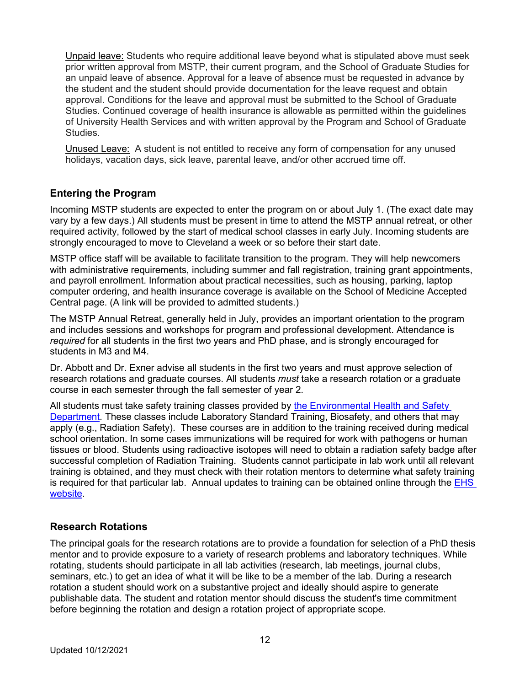Unpaid leave: Students who require additional leave beyond what is stipulated above must seek prior written approval from MSTP, their current program, and the School of Graduate Studies for an unpaid leave of absence. Approval for a leave of absence must be requested in advance by the student and the student should provide documentation for the leave request and obtain approval. Conditions for the leave and approval must be submitted to the School of Graduate Studies. Continued coverage of health insurance is allowable as permitted within the guidelines of University Health Services and with written approval by the Program and School of Graduate Studies.

Unused Leave:A student is not entitled to receive any form of compensation for any unused holidays, vacation days, sick leave, parental leave, and/or other accrued time off.

# **Entering the Program**

Incoming MSTP students are expected to enter the program on or about July 1. (The exact date may vary by a few days.) All students must be present in time to attend the MSTP annual retreat, or other required activity, followed by the start of medical school classes in early July. Incoming students are strongly encouraged to move to Cleveland a week or so before their start date.

MSTP office staff will be available to facilitate transition to the program. They will help newcomers with administrative requirements, including summer and fall registration, training grant appointments. and payroll enrollment. Information about practical necessities, such as housing, parking, laptop computer ordering, and health insurance coverage is available on the School of Medicine Accepted Central page. (A link will be provided to admitted students.)

The MSTP Annual Retreat, generally held in July, provides an important orientation to the program and includes sessions and workshops for program and professional development. Attendance is *required* for all students in the first two years and PhD phase, and is strongly encouraged for students in M3 and M4.

Dr. Abbott and Dr. Exner advise all students in the first two years and must approve selection of research rotations and graduate courses. All students *must* take a research rotation or a graduate course in each semester through the fall semester of year 2.

All students must take safety training classes provided by the Environmental Health and Safety Department. These classes include Laboratory Standard Training, Biosafety, and others that may apply (e.g., Radiation Safety). These courses are in addition to the training received during medical school orientation. In some cases immunizations will be required for work with pathogens or human tissues or blood. Students using radioactive isotopes will need to obtain a radiation safety badge after successful completion of Radiation Training. Students cannot participate in lab work until all relevant training is obtained, and they must check with their rotation mentors to determine what safety training is required for that particular lab. Annual updates to training can be obtained online through the EHS website.

# **Research Rotations**

The principal goals for the research rotations are to provide a foundation for selection of a PhD thesis mentor and to provide exposure to a variety of research problems and laboratory techniques. While rotating, students should participate in all lab activities (research, lab meetings, journal clubs, seminars, etc.) to get an idea of what it will be like to be a member of the lab. During a research rotation a student should work on a substantive project and ideally should aspire to generate publishable data. The student and rotation mentor should discuss the student's time commitment before beginning the rotation and design a rotation project of appropriate scope.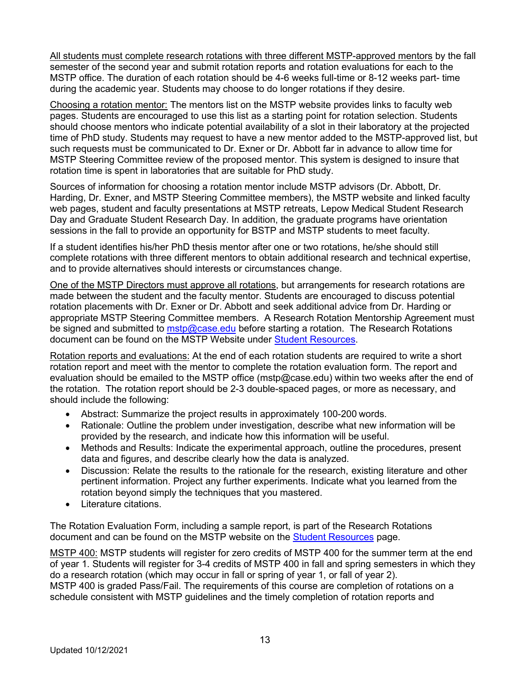All students must complete research rotations with three different MSTP-approved mentors by the fall semester of the second year and submit rotation reports and rotation evaluations for each to the MSTP office. The duration of each rotation should be 4-6 weeks full-time or 8-12 weeks part- time during the academic year. Students may choose to do longer rotations if they desire.

Choosing a rotation mentor: The mentors list on the MSTP website provides links to faculty web pages. Students are encouraged to use this list as a starting point for rotation selection. Students should choose mentors who indicate potential availability of a slot in their laboratory at the projected time of PhD study. Students may request to have a new mentor added to the MSTP-approved list, but such requests must be communicated to Dr. Exner or Dr. Abbott far in advance to allow time for MSTP Steering Committee review of the proposed mentor. This system is designed to insure that rotation time is spent in laboratories that are suitable for PhD study.

Sources of information for choosing a rotation mentor include MSTP advisors (Dr. Abbott, Dr. Harding, Dr. Exner, and MSTP Steering Committee members), the MSTP website and linked faculty web pages, student and faculty presentations at MSTP retreats, Lepow Medical Student Research Day and Graduate Student Research Day. In addition, the graduate programs have orientation sessions in the fall to provide an opportunity for BSTP and MSTP students to meet faculty.

If a student identifies his/her PhD thesis mentor after one or two rotations, he/she should still complete rotations with three different mentors to obtain additional research and technical expertise, and to provide alternatives should interests or circumstances change.

One of the MSTP Directors must approve all rotations, but arrangements for research rotations are made between the student and the faculty mentor. Students are encouraged to discuss potential rotation placements with Dr. Exner or Dr. Abbott and seek additional advice from Dr. Harding or appropriate MSTP Steering Committee members. A Research Rotation Mentorship Agreement must be signed and submitted to mstp@case.edu before starting a rotation. The Research Rotations document can be found on the MSTP Website under Student Resources.

Rotation reports and evaluations: At the end of each rotation students are required to write a short rotation report and meet with the mentor to complete the rotation evaluation form. The report and evaluation should be emailed to the MSTP office (mstp@case.edu) within two weeks after the end of the rotation. The rotation report should be 2-3 double-spaced pages, or more as necessary, and should include the following:

- Abstract: Summarize the project results in approximately 100-200 words.
- Rationale: Outline the problem under investigation, describe what new information will be provided by the research, and indicate how this information will be useful.
- Methods and Results: Indicate the experimental approach, outline the procedures, present data and figures, and describe clearly how the data is analyzed.
- Discussion: Relate the results to the rationale for the research, existing literature and other pertinent information. Project any further experiments. Indicate what you learned from the rotation beyond simply the techniques that you mastered.
- Literature citations.

The Rotation Evaluation Form, including a sample report, is part of the Research Rotations document and can be found on the MSTP website on the **Student Resources** page.

MSTP 400: MSTP students will register for zero credits of MSTP 400 for the summer term at the end of year 1. Students will register for 3-4 credits of MSTP 400 in fall and spring semesters in which they do a research rotation (which may occur in fall or spring of year 1, or fall of year 2). MSTP 400 is graded Pass/Fail. The requirements of this course are completion of rotations on a schedule consistent with MSTP guidelines and the timely completion of rotation reports and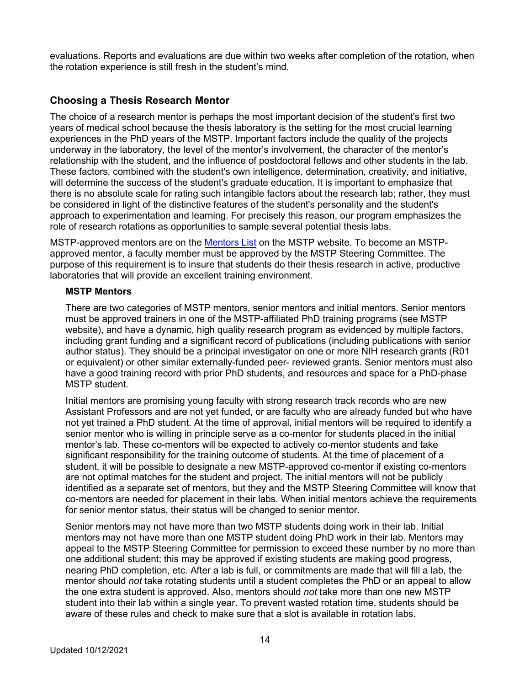evaluations. Reports and evaluations are due within two weeks after completion of the rotation, when the rotation experience is still fresh in the student's mind.

# **Choosing a Thesis Research Mentor**

The choice of a research mentor is perhaps the most important decision of the student's first two years of medical school because the thesis laboratory is the setting for the most crucial learning experiences in the PhD years of the MSTP. Important factors include the quality of the projects underway in the laboratory, the level of the mentor's involvement, the character of the mentor's relationship with the student, and the influence of postdoctoral fellows and other students in the lab. These factors, combined with the student's own intelligence, determination, creativity, and initiative, will determine the success of the student's graduate education. It is important to emphasize that there is no absolute scale for rating such intangible factors about the research lab; rather, they must be considered in light of the distinctive features of the student's personality and the student's approach to experimentation and learning. For precisely this reason, our program emphasizes the role of research rotations as opportunities to sample several potential thesis labs.

MSTP-approved mentors are on the **Mentors List** on the MSTP website. To become an MSTPapproved mentor, a faculty member must be approved by the MSTP Steering Committee. The purpose of this requirement is to insure that students do their thesis research in active, productive laboratories that will provide an excellent training environment.

#### **MSTP Mentors**

There are two categories of MSTP mentors, senior mentors and initial mentors. Senior mentors must be approved trainers in one of the MSTP-affiliated PhD training programs (see MSTP website), and have a dynamic, high quality research program as evidenced by multiple factors, including grant funding and a significant record of publications (including publications with senior author status). They should be a principal investigator on one or more NIH research grants (R01 or equivalent) or other similar externally-funded peer- reviewed grants. Senior mentors must also have a good training record with prior PhD students, and resources and space for a PhD-phase MSTP student.

Initial mentors are promising young faculty with strong research track records who are new Assistant Professors and are not yet funded, or are faculty who are already funded but who have not yet trained a PhD student. At the time of approval, initial mentors will be required to identify a senior mentor who is willing in principle serve as a co-mentor for students placed in the initial mentor's lab. These co-mentors will be expected to actively co-mentor students and take significant responsibility for the training outcome of students. At the time of placement of a student, it will be possible to designate a new MSTP-approved co-mentor if existing co-mentors are not optimal matches for the student and project. The initial mentors will not be publicly identified as a separate set of mentors, but they and the MSTP Steering Committee will know that co-mentors are needed for placement in their labs. When initial mentors achieve the requirements for senior mentor status, their status will be changed to senior mentor.

Senior mentors may not have more than two MSTP students doing work in their lab. Initial mentors may not have more than one MSTP student doing PhD work in their lab. Mentors may appeal to the MSTP Steering Committee for permission to exceed these number by no more than one additional student; this may be approved if existing students are making good progress, nearing PhD completion, etc. After a lab is full, or commitments are made that will fill a lab, the mentor should *not* take rotating students until a student completes the PhD or an appeal to allow the one extra student is approved. Also, mentors should *not* take more than one new MSTP student into their lab within a single year. To prevent wasted rotation time, students should be aware of these rules and check to make sure that a slot is available in rotation labs.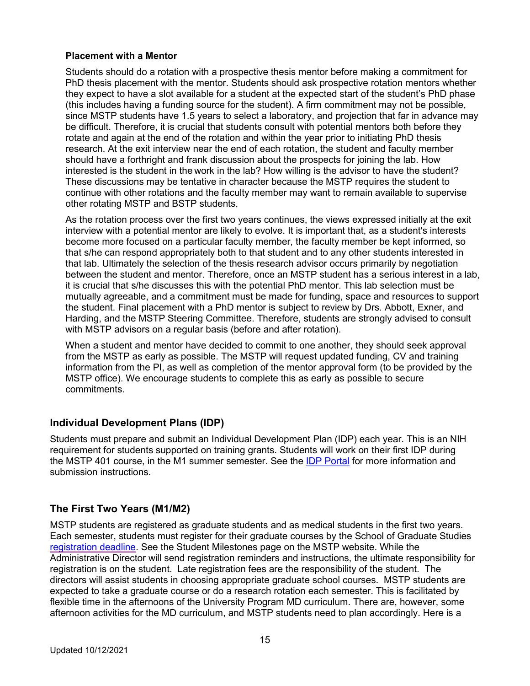#### **Placement with a Mentor**

Students should do a rotation with a prospective thesis mentor before making a commitment for PhD thesis placement with the mentor. Students should ask prospective rotation mentors whether they expect to have a slot available for a student at the expected start of the student's PhD phase (this includes having a funding source for the student). A firm commitment may not be possible, since MSTP students have 1.5 years to select a laboratory, and projection that far in advance may be difficult. Therefore, it is crucial that students consult with potential mentors both before they rotate and again at the end of the rotation and within the year prior to initiating PhD thesis research. At the exit interview near the end of each rotation, the student and faculty member should have a forthright and frank discussion about the prospects for joining the lab. How interested is the student in the work in the lab? How willing is the advisor to have the student? These discussions may be tentative in character because the MSTP requires the student to continue with other rotations and the faculty member may want to remain available to supervise other rotating MSTP and BSTP students.

As the rotation process over the first two years continues, the views expressed initially at the exit interview with a potential mentor are likely to evolve. It is important that, as a student's interests become more focused on a particular faculty member, the faculty member be kept informed, so that s/he can respond appropriately both to that student and to any other students interested in that lab. Ultimately the selection of the thesis research advisor occurs primarily by negotiation between the student and mentor. Therefore, once an MSTP student has a serious interest in a lab, it is crucial that s/he discusses this with the potential PhD mentor. This lab selection must be mutually agreeable, and a commitment must be made for funding, space and resources to support the student. Final placement with a PhD mentor is subject to review by Drs. Abbott, Exner, and Harding, and the MSTP Steering Committee. Therefore, students are strongly advised to consult with MSTP advisors on a regular basis (before and after rotation).

When a student and mentor have decided to commit to one another, they should seek approval from the MSTP as early as possible. The MSTP will request updated funding, CV and training information from the PI, as well as completion of the mentor approval form (to be provided by the MSTP office). We encourage students to complete this as early as possible to secure commitments.

# **Individual Development Plans (IDP)**

Students must prepare and submit an Individual Development Plan (IDP) each year. This is an NIH requirement for students supported on training grants. Students will work on their first IDP during the MSTP 401 course, in the M1 summer semester. See the IDP Portal for more information and submission instructions.

# **The First Two Years (M1/M2)**

MSTP students are registered as graduate students and as medical students in the first two years. Each semester, students must register for their graduate courses by the School of Graduate Studies registration deadline. See the Student Milestones page on the MSTP website. While the Administrative Director will send registration reminders and instructions, the ultimate responsibility for registration is on the student. Late registration fees are the responsibility of the student. The directors will assist students in choosing appropriate graduate school courses. MSTP students are expected to take a graduate course or do a research rotation each semester. This is facilitated by flexible time in the afternoons of the University Program MD curriculum. There are, however, some afternoon activities for the MD curriculum, and MSTP students need to plan accordingly. Here is a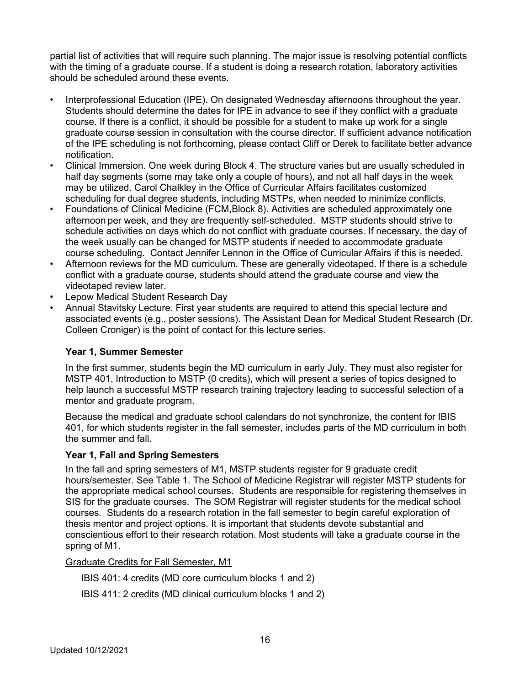partial list of activities that will require such planning. The major issue is resolving potential conflicts with the timing of a graduate course. If a student is doing a research rotation, laboratory activities should be scheduled around these events.

- Interprofessional Education (IPE). On designated Wednesday afternoons throughout the year. Students should determine the dates for IPE in advance to see if they conflict with a graduate course. If there is a conflict, it should be possible for a student to make up work for a single graduate course session in consultation with the course director. If sufficient advance notification of the IPE scheduling is not forthcoming, please contact Cliff or Derek to facilitate better advance notification.
- Clinical Immersion. One week during Block 4. The structure varies but are usually scheduled in half day segments (some may take only a couple of hours), and not all half days in the week may be utilized. Carol Chalkley in the Office of Curricular Affairs facilitates customized scheduling for dual degree students, including MSTPs, when needed to minimize conflicts.
- Foundations of Clinical Medicine (FCM,Block 8). Activities are scheduled approximately one afternoon per week, and they are frequently self-scheduled. MSTP students should strive to schedule activities on days which do not conflict with graduate courses. If necessary, the day of the week usually can be changed for MSTP students if needed to accommodate graduate course scheduling. Contact Jennifer Lennon in the Office of Curricular Affairs if this is needed.
- Afternoon reviews for the MD curriculum. These are generally videotaped. If there is a schedule conflict with a graduate course, students should attend the graduate course and view the videotaped review later.
- Lepow Medical Student Research Day
- Annual Stavitsky Lecture. First year students are required to attend this special lecture and associated events (e.g., poster sessions). The Assistant Dean for Medical Student Research (Dr. Colleen Croniger) is the point of contact for this lecture series.

#### **Year 1, Summer Semester**

In the first summer, students begin the MD curriculum in early July. They must also register for MSTP 401, Introduction to MSTP (0 credits), which will present a series of topics designed to help launch a successful MSTP research training trajectory leading to successful selection of a mentor and graduate program.

Because the medical and graduate school calendars do not synchronize, the content for IBIS 401, for which students register in the fall semester, includes parts of the MD curriculum in both the summer and fall.

#### **Year 1, Fall and Spring Semesters**

In the fall and spring semesters of M1, MSTP students register for 9 graduate credit hours/semester. See Table 1. The School of Medicine Registrar will register MSTP students for the appropriate medical school courses. Students are responsible for registering themselves in SIS for the graduate courses. The SOM Registrar will register students for the medical school courses. Students do a research rotation in the fall semester to begin careful exploration of thesis mentor and project options. It is important that students devote substantial and conscientious effort to their research rotation. Most students will take a graduate course in the spring of M1.

Graduate Credits for Fall Semester, M1

IBIS 401: 4 credits (MD core curriculum blocks 1 and 2)

IBIS 411: 2 credits (MD clinical curriculum blocks 1 and 2)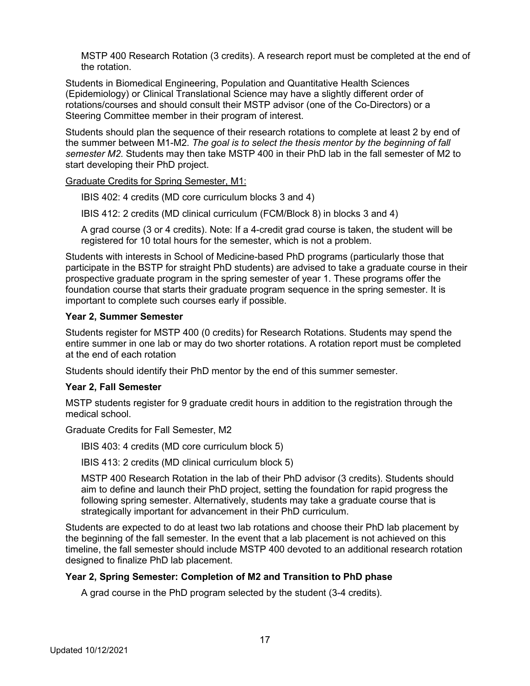MSTP 400 Research Rotation (3 credits). A research report must be completed at the end of the rotation.

Students in Biomedical Engineering, Population and Quantitative Health Sciences (Epidemiology) or Clinical Translational Science may have a slightly different order of rotations/courses and should consult their MSTP advisor (one of the Co-Directors) or a Steering Committee member in their program of interest.

Students should plan the sequence of their research rotations to complete at least 2 by end of the summer between M1-M2. *The goal is to select the thesis mentor by the beginning of fall semester M2*. Students may then take MSTP 400 in their PhD lab in the fall semester of M2 to start developing their PhD project.

Graduate Credits for Spring Semester, M1:

IBIS 402: 4 credits (MD core curriculum blocks 3 and 4)

IBIS 412: 2 credits (MD clinical curriculum (FCM/Block 8) in blocks 3 and 4)

A grad course (3 or 4 credits). Note: If a 4-credit grad course is taken, the student will be registered for 10 total hours for the semester, which is not a problem.

Students with interests in School of Medicine-based PhD programs (particularly those that participate in the BSTP for straight PhD students) are advised to take a graduate course in their prospective graduate program in the spring semester of year 1. These programs offer the foundation course that starts their graduate program sequence in the spring semester. It is important to complete such courses early if possible.

#### **Year 2, Summer Semester**

Students register for MSTP 400 (0 credits) for Research Rotations. Students may spend the entire summer in one lab or may do two shorter rotations. A rotation report must be completed at the end of each rotation

Students should identify their PhD mentor by the end of this summer semester.

#### **Year 2, Fall Semester**

MSTP students register for 9 graduate credit hours in addition to the registration through the medical school.

Graduate Credits for Fall Semester, M2

IBIS 403: 4 credits (MD core curriculum block 5)

IBIS 413: 2 credits (MD clinical curriculum block 5)

MSTP 400 Research Rotation in the lab of their PhD advisor (3 credits). Students should aim to define and launch their PhD project, setting the foundation for rapid progress the following spring semester. Alternatively, students may take a graduate course that is strategically important for advancement in their PhD curriculum.

Students are expected to do at least two lab rotations and choose their PhD lab placement by the beginning of the fall semester. In the event that a lab placement is not achieved on this timeline, the fall semester should include MSTP 400 devoted to an additional research rotation designed to finalize PhD lab placement.

#### **Year 2, Spring Semester: Completion of M2 and Transition to PhD phase**

A grad course in the PhD program selected by the student (3-4 credits).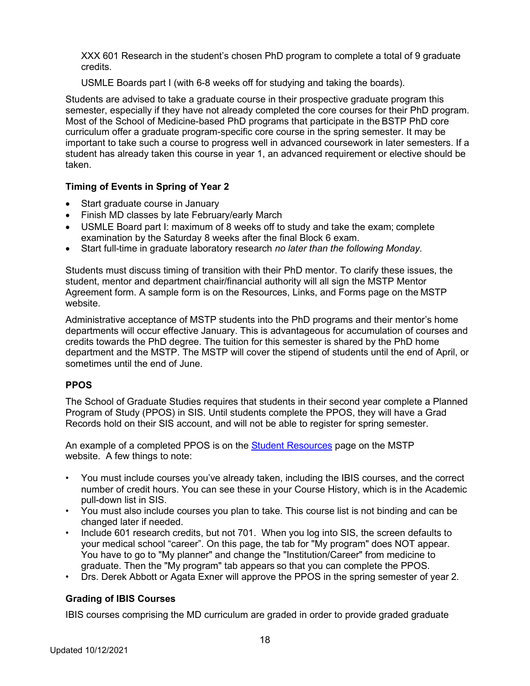XXX 601 Research in the student's chosen PhD program to complete a total of 9 graduate credits.

USMLE Boards part I (with 6-8 weeks off for studying and taking the boards).

Students are advised to take a graduate course in their prospective graduate program this semester, especially if they have not already completed the core courses for their PhD program. Most of the School of Medicine-based PhD programs that participate in the BSTP PhD core curriculum offer a graduate program-specific core course in the spring semester. It may be important to take such a course to progress well in advanced coursework in later semesters. If a student has already taken this course in year 1, an advanced requirement or elective should be taken.

# **Timing of Events in Spring of Year 2**

- Start graduate course in January
- Finish MD classes by late February/early March
- USMLE Board part I: maximum of 8 weeks off to study and take the exam; complete examination by the Saturday 8 weeks after the final Block 6 exam.
- Start full-time in graduate laboratory research *no later than the following Monday.*

Students must discuss timing of transition with their PhD mentor. To clarify these issues, the student, mentor and department chair/financial authority will all sign the MSTP Mentor Agreement form. A sample form is on the Resources, Links, and Forms page on the MSTP website.

Administrative acceptance of MSTP students into the PhD programs and their mentor's home departments will occur effective January. This is advantageous for accumulation of courses and credits towards the PhD degree. The tuition for this semester is shared by the PhD home department and the MSTP. The MSTP will cover the stipend of students until the end of April, or sometimes until the end of June.

# **PPOS**

The School of Graduate Studies requires that students in their second year complete a Planned Program of Study (PPOS) in SIS. Until students complete the PPOS, they will have a Grad Records hold on their SIS account, and will not be able to register for spring semester.

An example of a completed PPOS is on the **Student Resources** page on the MSTP website. A few things to note:

- You must include courses you've already taken, including the IBIS courses, and the correct number of credit hours. You can see these in your Course History, which is in the Academic pull-down list in SIS.
- You must also include courses you plan to take. This course list is not binding and can be changed later if needed.
- Include 601 research credits, but not 701. When you log into SIS, the screen defaults to your medical school "career". On this page, the tab for "My program" does NOT appear. You have to go to "My planner" and change the "Institution/Career" from medicine to graduate. Then the "My program" tab appears so that you can complete the PPOS.
- Drs. Derek Abbott or Agata Exner will approve the PPOS in the spring semester of year 2.

# **Grading of IBIS Courses**

IBIS courses comprising the MD curriculum are graded in order to provide graded graduate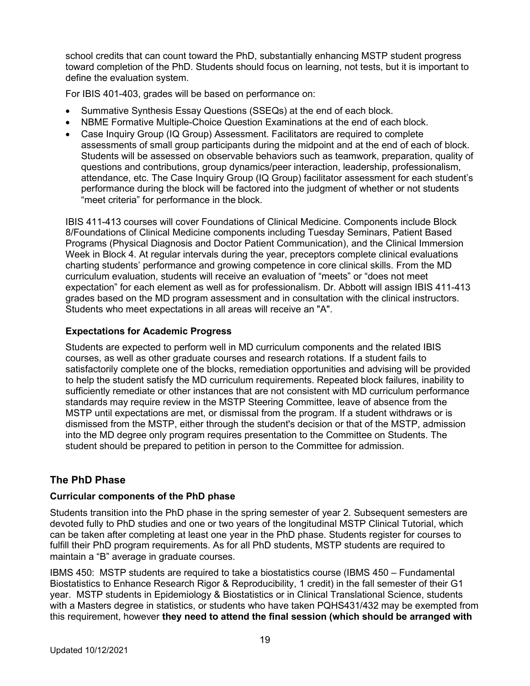school credits that can count toward the PhD, substantially enhancing MSTP student progress toward completion of the PhD. Students should focus on learning, not tests, but it is important to define the evaluation system.

For IBIS 401-403, grades will be based on performance on:

- Summative Synthesis Essay Questions (SSEQs) at the end of each block.
- NBME Formative Multiple-Choice Question Examinations at the end of each block.
- Case Inquiry Group (IQ Group) Assessment. Facilitators are required to complete assessments of small group participants during the midpoint and at the end of each of block. Students will be assessed on observable behaviors such as teamwork, preparation, quality of questions and contributions, group dynamics/peer interaction, leadership, professionalism, attendance, etc. The Case Inquiry Group (IQ Group) facilitator assessment for each student's performance during the block will be factored into the judgment of whether or not students "meet criteria" for performance in the block.

IBIS 411-413 courses will cover Foundations of Clinical Medicine. Components include Block 8/Foundations of Clinical Medicine components including Tuesday Seminars, Patient Based Programs (Physical Diagnosis and Doctor Patient Communication), and the Clinical Immersion Week in Block 4. At regular intervals during the year, preceptors complete clinical evaluations charting students' performance and growing competence in core clinical skills. From the MD curriculum evaluation, students will receive an evaluation of "meets" or "does not meet expectation" for each element as well as for professionalism. Dr. Abbott will assign IBIS 411-413 grades based on the MD program assessment and in consultation with the clinical instructors. Students who meet expectations in all areas will receive an "A".

#### **Expectations for Academic Progress**

Students are expected to perform well in MD curriculum components and the related IBIS courses, as well as other graduate courses and research rotations. If a student fails to satisfactorily complete one of the blocks, remediation opportunities and advising will be provided to help the student satisfy the MD curriculum requirements. Repeated block failures, inability to sufficiently remediate or other instances that are not consistent with MD curriculum performance standards may require review in the MSTP Steering Committee, leave of absence from the MSTP until expectations are met, or dismissal from the program. If a student withdraws or is dismissed from the MSTP, either through the student's decision or that of the MSTP, admission into the MD degree only program requires presentation to the Committee on Students. The student should be prepared to petition in person to the Committee for admission.

# **The PhD Phase**

#### **Curricular components of the PhD phase**

Students transition into the PhD phase in the spring semester of year 2. Subsequent semesters are devoted fully to PhD studies and one or two years of the longitudinal MSTP Clinical Tutorial, which can be taken after completing at least one year in the PhD phase. Students register for courses to fulfill their PhD program requirements. As for all PhD students, MSTP students are required to maintain a "B" average in graduate courses.

IBMS 450: MSTP students are required to take a biostatistics course (IBMS 450 – Fundamental Biostatistics to Enhance Research Rigor & Reproducibility, 1 credit) in the fall semester of their G1 year. MSTP students in Epidemiology & Biostatistics or in Clinical Translational Science, students with a Masters degree in statistics, or students who have taken PQHS431/432 may be exempted from this requirement, however **they need to attend the final session (which should be arranged with**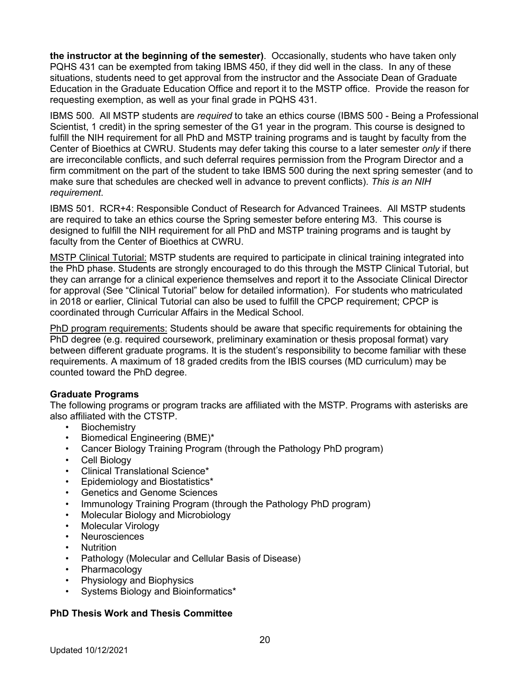**the instructor at the beginning of the semester)**. Occasionally, students who have taken only PQHS 431 can be exempted from taking IBMS 450, if they did well in the class. In any of these situations, students need to get approval from the instructor and the Associate Dean of Graduate Education in the Graduate Education Office and report it to the MSTP office. Provide the reason for requesting exemption, as well as your final grade in PQHS 431.

IBMS 500. All MSTP students are *required* to take an ethics course (IBMS 500 - Being a Professional Scientist, 1 credit) in the spring semester of the G1 year in the program. This course is designed to fulfill the NIH requirement for all PhD and MSTP training programs and is taught by faculty from the Center of Bioethics at CWRU. Students may defer taking this course to a later semester *only* if there are irreconcilable conflicts, and such deferral requires permission from the Program Director and a firm commitment on the part of the student to take IBMS 500 during the next spring semester (and to make sure that schedules are checked well in advance to prevent conflicts). *This is an NIH requirement*.

IBMS 501. RCR+4: Responsible Conduct of Research for Advanced Trainees. All MSTP students are required to take an ethics course the Spring semester before entering M3. This course is designed to fulfill the NIH requirement for all PhD and MSTP training programs and is taught by faculty from the Center of Bioethics at CWRU.

MSTP Clinical Tutorial: MSTP students are required to participate in clinical training integrated into the PhD phase. Students are strongly encouraged to do this through the MSTP Clinical Tutorial, but they can arrange for a clinical experience themselves and report it to the Associate Clinical Director for approval (See "Clinical Tutorial" below for detailed information). For students who matriculated in 2018 or earlier, Clinical Tutorial can also be used to fulfill the CPCP requirement; CPCP is coordinated through Curricular Affairs in the Medical School.

PhD program requirements: Students should be aware that specific requirements for obtaining the PhD degree (e.g. required coursework, preliminary examination or thesis proposal format) vary between different graduate programs. It is the student's responsibility to become familiar with these requirements. A maximum of 18 graded credits from the IBIS courses (MD curriculum) may be counted toward the PhD degree.

#### **Graduate Programs**

The following programs or program tracks are affiliated with the MSTP. Programs with asterisks are also affiliated with the CTSTP.

- Biochemistry
- Biomedical Engineering (BME)\*
- Cancer Biology Training Program (through the Pathology PhD program)
- Cell Biology
- Clinical Translational Science\*
- Epidemiology and Biostatistics\*
- Genetics and Genome Sciences
- Immunology Training Program (through the Pathology PhD program)
- Molecular Biology and Microbiology
- Molecular Virology
- Neurosciences
- **Nutrition**
- Pathology (Molecular and Cellular Basis of Disease)
- Pharmacology
- Physiology and Biophysics
- Systems Biology and Bioinformatics\*

#### **PhD Thesis Work and Thesis Committee**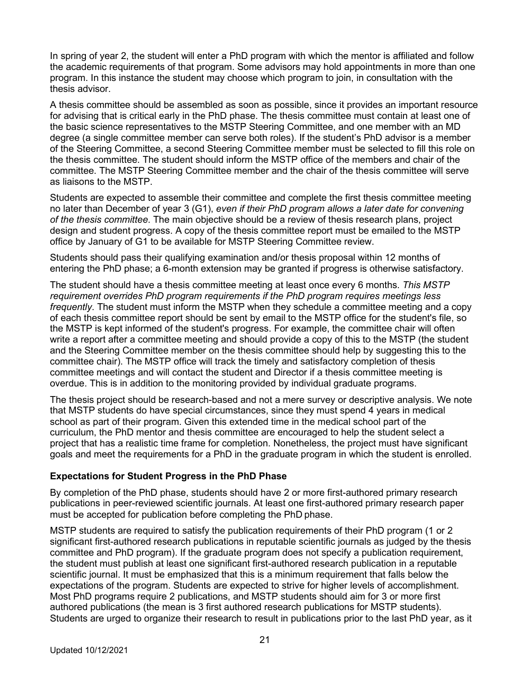In spring of year 2, the student will enter a PhD program with which the mentor is affiliated and follow the academic requirements of that program. Some advisors may hold appointments in more than one program. In this instance the student may choose which program to join, in consultation with the thesis advisor.

A thesis committee should be assembled as soon as possible, since it provides an important resource for advising that is critical early in the PhD phase. The thesis committee must contain at least one of the basic science representatives to the MSTP Steering Committee, and one member with an MD degree (a single committee member can serve both roles). If the student's PhD advisor is a member of the Steering Committee, a second Steering Committee member must be selected to fill this role on the thesis committee. The student should inform the MSTP office of the members and chair of the committee. The MSTP Steering Committee member and the chair of the thesis committee will serve as liaisons to the MSTP.

Students are expected to assemble their committee and complete the first thesis committee meeting no later than December of year 3 (G1), *even if their PhD program allows a later date for convening of the thesis committee*. The main objective should be a review of thesis research plans, project design and student progress. A copy of the thesis committee report must be emailed to the MSTP office by January of G1 to be available for MSTP Steering Committee review.

Students should pass their qualifying examination and/or thesis proposal within 12 months of entering the PhD phase; a 6-month extension may be granted if progress is otherwise satisfactory.

The student should have a thesis committee meeting at least once every 6 months. *This MSTP requirement overrides PhD program requirements if the PhD program requires meetings less frequently*. The student must inform the MSTP when they schedule a committee meeting and a copy of each thesis committee report should be sent by email to the MSTP office for the student's file, so the MSTP is kept informed of the student's progress. For example, the committee chair will often write a report after a committee meeting and should provide a copy of this to the MSTP (the student and the Steering Committee member on the thesis committee should help by suggesting this to the committee chair). The MSTP office will track the timely and satisfactory completion of thesis committee meetings and will contact the student and Director if a thesis committee meeting is overdue. This is in addition to the monitoring provided by individual graduate programs.

The thesis project should be research-based and not a mere survey or descriptive analysis. We note that MSTP students do have special circumstances, since they must spend 4 years in medical school as part of their program. Given this extended time in the medical school part of the curriculum, the PhD mentor and thesis committee are encouraged to help the student select a project that has a realistic time frame for completion. Nonetheless, the project must have significant goals and meet the requirements for a PhD in the graduate program in which the student is enrolled.

#### **Expectations for Student Progress in the PhD Phase**

By completion of the PhD phase, students should have 2 or more first-authored primary research publications in peer-reviewed scientific journals. At least one first-authored primary research paper must be accepted for publication before completing the PhD phase.

MSTP students are required to satisfy the publication requirements of their PhD program (1 or 2 significant first-authored research publications in reputable scientific journals as judged by the thesis committee and PhD program). If the graduate program does not specify a publication requirement, the student must publish at least one significant first-authored research publication in a reputable scientific journal. It must be emphasized that this is a minimum requirement that falls below the expectations of the program. Students are expected to strive for higher levels of accomplishment. Most PhD programs require 2 publications, and MSTP students should aim for 3 or more first authored publications (the mean is 3 first authored research publications for MSTP students). Students are urged to organize their research to result in publications prior to the last PhD year, as it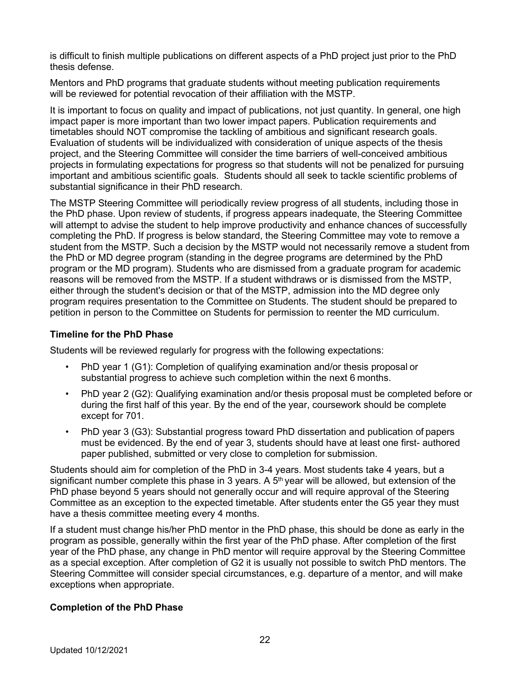is difficult to finish multiple publications on different aspects of a PhD project just prior to the PhD thesis defense.

Mentors and PhD programs that graduate students without meeting publication requirements will be reviewed for potential revocation of their affiliation with the MSTP.

It is important to focus on quality and impact of publications, not just quantity. In general, one high impact paper is more important than two lower impact papers. Publication requirements and timetables should NOT compromise the tackling of ambitious and significant research goals. Evaluation of students will be individualized with consideration of unique aspects of the thesis project, and the Steering Committee will consider the time barriers of well-conceived ambitious projects in formulating expectations for progress so that students will not be penalized for pursuing important and ambitious scientific goals. Students should all seek to tackle scientific problems of substantial significance in their PhD research.

The MSTP Steering Committee will periodically review progress of all students, including those in the PhD phase. Upon review of students, if progress appears inadequate, the Steering Committee will attempt to advise the student to help improve productivity and enhance chances of successfully completing the PhD. If progress is below standard, the Steering Committee may vote to remove a student from the MSTP. Such a decision by the MSTP would not necessarily remove a student from the PhD or MD degree program (standing in the degree programs are determined by the PhD program or the MD program). Students who are dismissed from a graduate program for academic reasons will be removed from the MSTP. If a student withdraws or is dismissed from the MSTP, either through the student's decision or that of the MSTP, admission into the MD degree only program requires presentation to the Committee on Students. The student should be prepared to petition in person to the Committee on Students for permission to reenter the MD curriculum.

#### **Timeline for the PhD Phase**

Students will be reviewed regularly for progress with the following expectations:

- PhD year 1 (G1): Completion of qualifying examination and/or thesis proposal or substantial progress to achieve such completion within the next 6 months.
- PhD year 2 (G2): Qualifying examination and/or thesis proposal must be completed before or during the first half of this year. By the end of the year, coursework should be complete except for 701.
- PhD year 3 (G3): Substantial progress toward PhD dissertation and publication of papers must be evidenced. By the end of year 3, students should have at least one first- authored paper published, submitted or very close to completion for submission.

Students should aim for completion of the PhD in 3-4 years. Most students take 4 years, but a significant number complete this phase in 3 years. A  $5<sup>th</sup>$  year will be allowed, but extension of the PhD phase beyond 5 years should not generally occur and will require approval of the Steering Committee as an exception to the expected timetable. After students enter the G5 year they must have a thesis committee meeting every 4 months.

If a student must change his/her PhD mentor in the PhD phase, this should be done as early in the program as possible, generally within the first year of the PhD phase. After completion of the first year of the PhD phase, any change in PhD mentor will require approval by the Steering Committee as a special exception. After completion of G2 it is usually not possible to switch PhD mentors. The Steering Committee will consider special circumstances, e.g. departure of a mentor, and will make exceptions when appropriate.

#### **Completion of the PhD Phase**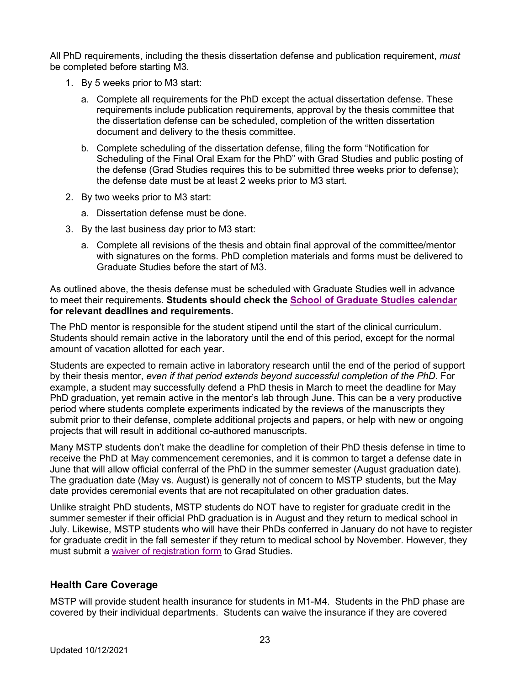All PhD requirements, including the thesis dissertation defense and publication requirement, *must*  be completed before starting M3.

- 1. By 5 weeks prior to M3 start:
	- a. Complete all requirements for the PhD except the actual dissertation defense. These requirements include publication requirements, approval by the thesis committee that the dissertation defense can be scheduled, completion of the written dissertation document and delivery to the thesis committee.
	- b. Complete scheduling of the dissertation defense, filing the form "Notification for Scheduling of the Final Oral Exam for the PhD" with Grad Studies and public posting of the defense (Grad Studies requires this to be submitted three weeks prior to defense); the defense date must be at least 2 weeks prior to M3 start.
- 2. By two weeks prior to M3 start:
	- a. Dissertation defense must be done.
- 3. By the last business day prior to M3 start:
	- a. Complete all revisions of the thesis and obtain final approval of the committee/mentor with signatures on the forms. PhD completion materials and forms must be delivered to Graduate Studies before the start of M3.

As outlined above, the thesis defense must be scheduled with Graduate Studies well in advance to meet their requirements. **Students should check the School of Graduate Studies calendar for relevant deadlines and requirements.**

The PhD mentor is responsible for the student stipend until the start of the clinical curriculum. Students should remain active in the laboratory until the end of this period, except for the normal amount of vacation allotted for each year.

Students are expected to remain active in laboratory research until the end of the period of support by their thesis mentor, *even if that period extends beyond successful completion of the PhD*. For example, a student may successfully defend a PhD thesis in March to meet the deadline for May PhD graduation, yet remain active in the mentor's lab through June. This can be a very productive period where students complete experiments indicated by the reviews of the manuscripts they submit prior to their defense, complete additional projects and papers, or help with new or ongoing projects that will result in additional co-authored manuscripts.

Many MSTP students don't make the deadline for completion of their PhD thesis defense in time to receive the PhD at May commencement ceremonies, and it is common to target a defense date in June that will allow official conferral of the PhD in the summer semester (August graduation date). The graduation date (May vs. August) is generally not of concern to MSTP students, but the May date provides ceremonial events that are not recapitulated on other graduation dates.

Unlike straight PhD students, MSTP students do NOT have to register for graduate credit in the summer semester if their official PhD graduation is in August and they return to medical school in July. Likewise, MSTP students who will have their PhDs conferred in January do not have to register for graduate credit in the fall semester if they return to medical school by November. However, they must submit a waiver of registration form to Grad Studies.

# **Health Care Coverage**

MSTP will provide student health insurance for students in M1-M4. Students in the PhD phase are covered by their individual departments. Students can waive the insurance if they are covered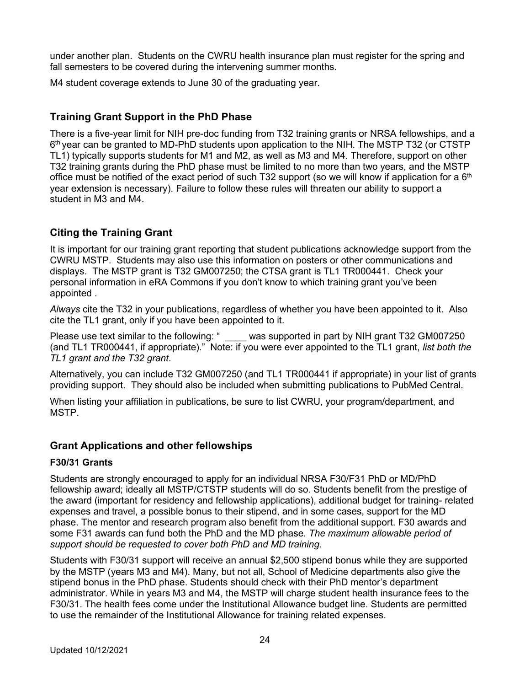under another plan. Students on the CWRU health insurance plan must register for the spring and fall semesters to be covered during the intervening summer months.

M4 student coverage extends to June 30 of the graduating year.

# **Training Grant Support in the PhD Phase**

There is a five-year limit for NIH pre-doc funding from T32 training grants or NRSA fellowships, and a 6th year can be granted to MD-PhD students upon application to the NIH. The MSTP T32 (or CTSTP TL1) typically supports students for M1 and M2, as well as M3 and M4. Therefore, support on other T32 training grants during the PhD phase must be limited to no more than two years, and the MSTP office must be notified of the exact period of such T32 support (so we will know if application for a  $6<sup>th</sup>$ year extension is necessary). Failure to follow these rules will threaten our ability to support a student in M3 and M4.

# **Citing the Training Grant**

It is important for our training grant reporting that student publications acknowledge support from the CWRU MSTP. Students may also use this information on posters or other communications and displays. The MSTP grant is T32 GM007250; the CTSA grant is TL1 TR000441. Check your personal information in eRA Commons if you don't know to which training grant you've been appointed .

*Always* cite the T32 in your publications, regardless of whether you have been appointed to it. Also cite the TL1 grant, only if you have been appointed to it.

Please use text similar to the following: " was supported in part by NIH grant T32 GM007250 (and TL1 TR000441, if appropriate)." Note: if you were ever appointed to the TL1 grant, *list both the TL1 grant and the T32 grant*.

Alternatively, you can include T32 GM007250 (and TL1 TR000441 if appropriate) in your list of grants providing support. They should also be included when submitting publications to PubMed Central.

When listing your affiliation in publications, be sure to list CWRU, your program/department, and MSTP.

# **Grant Applications and other fellowships**

# **F30/31 Grants**

Students are strongly encouraged to apply for an individual NRSA F30/F31 PhD or MD/PhD fellowship award; ideally all MSTP/CTSTP students will do so. Students benefit from the prestige of the award (important for residency and fellowship applications), additional budget for training- related expenses and travel, a possible bonus to their stipend, and in some cases, support for the MD phase. The mentor and research program also benefit from the additional support. F30 awards and some F31 awards can fund both the PhD and the MD phase. *The maximum allowable period of support should be requested to cover both PhD and MD training.*

Students with F30/31 support will receive an annual \$2,500 stipend bonus while they are supported by the MSTP (years M3 and M4). Many, but not all, School of Medicine departments also give the stipend bonus in the PhD phase. Students should check with their PhD mentor's department administrator. While in years M3 and M4, the MSTP will charge student health insurance fees to the F30/31. The health fees come under the Institutional Allowance budget line. Students are permitted to use the remainder of the Institutional Allowance for training related expenses.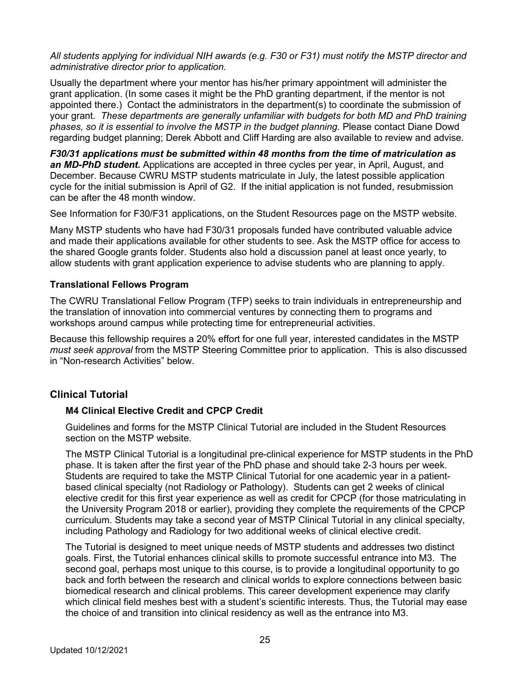*All students applying for individual NIH awards (e.g. F30 or F31) must notify the MSTP director and administrative director prior to application.*

Usually the department where your mentor has his/her primary appointment will administer the grant application. (In some cases it might be the PhD granting department, if the mentor is not appointed there.) Contact the administrators in the department(s) to coordinate the submission of your grant. *These departments are generally unfamiliar with budgets for both MD and PhD training phases, so it is essential to involve the MSTP in the budget planning.* Please contact Diane Dowd regarding budget planning; Derek Abbott and Cliff Harding are also available to review and advise.

*F30/31 applications must be submitted within 48 months from the time of matriculation as an MD-PhD student.* Applications are accepted in three cycles per year, in April, August, and December. Because CWRU MSTP students matriculate in July, the latest possible application cycle for the initial submission is April of G2. If the initial application is not funded, resubmission can be after the 48 month window.

See Information for F30/F31 applications, on the Student Resources page on the MSTP website.

Many MSTP students who have had F30/31 proposals funded have contributed valuable advice and made their applications available for other students to see. Ask the MSTP office for access to the shared Google grants folder. Students also hold a discussion panel at least once yearly, to allow students with grant application experience to advise students who are planning to apply.

#### **Translational Fellows Program**

The CWRU Translational Fellow Program (TFP) seeks to train individuals in entrepreneurship and the translation of innovation into commercial ventures by connecting them to programs and workshops around campus while protecting time for entrepreneurial activities.

Because this fellowship requires a 20% effort for one full year, interested candidates in the MSTP *must seek approval* from the MSTP Steering Committee prior to application. This is also discussed in "Non-research Activities" below.

# **Clinical Tutorial**

#### **M4 Clinical Elective Credit and CPCP Credit**

Guidelines and forms for the MSTP Clinical Tutorial are included in the Student Resources section on the MSTP website.

The MSTP Clinical Tutorial is a longitudinal pre-clinical experience for MSTP students in the PhD phase. It is taken after the first year of the PhD phase and should take 2-3 hours per week. Students are required to take the MSTP Clinical Tutorial for one academic year in a patientbased clinical specialty (not Radiology or Pathology). Students can get 2 weeks of clinical elective credit for this first year experience as well as credit for CPCP (for those matriculating in the University Program 2018 or earlier), providing they complete the requirements of the CPCP curriculum. Students may take a second year of MSTP Clinical Tutorial in any clinical specialty, including Pathology and Radiology for two additional weeks of clinical elective credit.

The Tutorial is designed to meet unique needs of MSTP students and addresses two distinct goals. First, the Tutorial enhances clinical skills to promote successful entrance into M3. The second goal, perhaps most unique to this course, is to provide a longitudinal opportunity to go back and forth between the research and clinical worlds to explore connections between basic biomedical research and clinical problems. This career development experience may clarify which clinical field meshes best with a student's scientific interests. Thus, the Tutorial may ease the choice of and transition into clinical residency as well as the entrance into M3.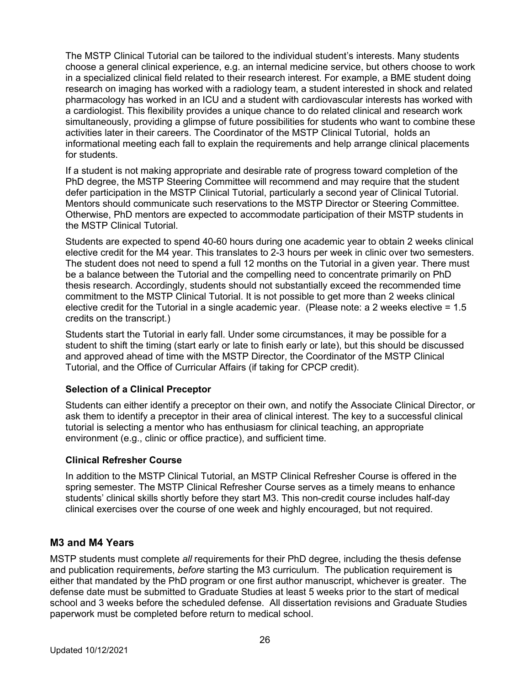The MSTP Clinical Tutorial can be tailored to the individual student's interests. Many students choose a general clinical experience, e.g. an internal medicine service, but others choose to work in a specialized clinical field related to their research interest. For example, a BME student doing research on imaging has worked with a radiology team, a student interested in shock and related pharmacology has worked in an ICU and a student with cardiovascular interests has worked with a cardiologist. This flexibility provides a unique chance to do related clinical and research work simultaneously, providing a glimpse of future possibilities for students who want to combine these activities later in their careers. The Coordinator of the MSTP Clinical Tutorial, holds an informational meeting each fall to explain the requirements and help arrange clinical placements for students.

If a student is not making appropriate and desirable rate of progress toward completion of the PhD degree, the MSTP Steering Committee will recommend and may require that the student defer participation in the MSTP Clinical Tutorial, particularly a second year of Clinical Tutorial. Mentors should communicate such reservations to the MSTP Director or Steering Committee. Otherwise, PhD mentors are expected to accommodate participation of their MSTP students in the MSTP Clinical Tutorial.

Students are expected to spend 40-60 hours during one academic year to obtain 2 weeks clinical elective credit for the M4 year. This translates to 2-3 hours per week in clinic over two semesters. The student does not need to spend a full 12 months on the Tutorial in a given year. There must be a balance between the Tutorial and the compelling need to concentrate primarily on PhD thesis research. Accordingly, students should not substantially exceed the recommended time commitment to the MSTP Clinical Tutorial. It is not possible to get more than 2 weeks clinical elective credit for the Tutorial in a single academic year. (Please note: a 2 weeks elective = 1.5 credits on the transcript.)

Students start the Tutorial in early fall. Under some circumstances, it may be possible for a student to shift the timing (start early or late to finish early or late), but this should be discussed and approved ahead of time with the MSTP Director, the Coordinator of the MSTP Clinical Tutorial, and the Office of Curricular Affairs (if taking for CPCP credit).

#### **Selection of a Clinical Preceptor**

Students can either identify a preceptor on their own, and notify the Associate Clinical Director, or ask them to identify a preceptor in their area of clinical interest. The key to a successful clinical tutorial is selecting a mentor who has enthusiasm for clinical teaching, an appropriate environment (e.g., clinic or office practice), and sufficient time.

#### **Clinical Refresher Course**

In addition to the MSTP Clinical Tutorial, an MSTP Clinical Refresher Course is offered in the spring semester. The MSTP Clinical Refresher Course serves as a timely means to enhance students' clinical skills shortly before they start M3. This non-credit course includes half-day clinical exercises over the course of one week and highly encouraged, but not required.

# **M3 and M4 Years**

MSTP students must complete *all* requirements for their PhD degree, including the thesis defense and publication requirements, *before* starting the M3 curriculum. The publication requirement is either that mandated by the PhD program or one first author manuscript, whichever is greater. The defense date must be submitted to Graduate Studies at least 5 weeks prior to the start of medical school and 3 weeks before the scheduled defense. All dissertation revisions and Graduate Studies paperwork must be completed before return to medical school.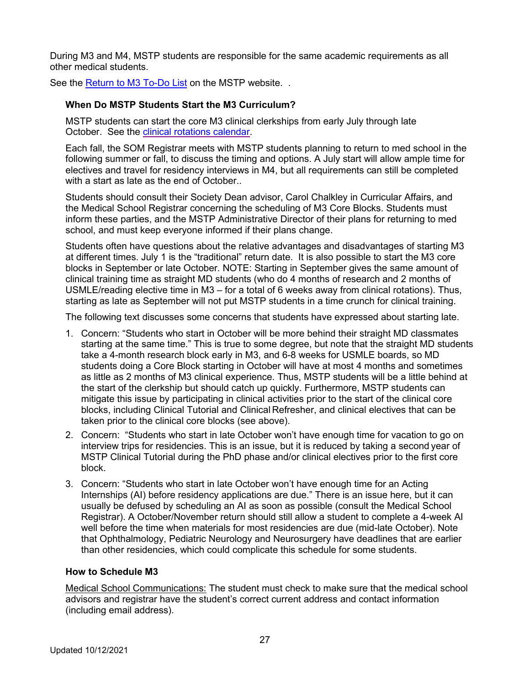During M3 and M4, MSTP students are responsible for the same academic requirements as all other medical students.

See the Return to M3 To-Do List on the MSTP website. .

## **When Do MSTP Students Start the M3 Curriculum?**

MSTP students can start the core M3 clinical clerkships from early July through late October. See the clinical rotations calendar.

Each fall, the SOM Registrar meets with MSTP students planning to return to med school in the following summer or fall, to discuss the timing and options. A July start will allow ample time for electives and travel for residency interviews in M4, but all requirements can still be completed with a start as late as the end of October..

Students should consult their Society Dean advisor, Carol Chalkley in Curricular Affairs, and the Medical School Registrar concerning the scheduling of M3 Core Blocks. Students must inform these parties, and the MSTP Administrative Director of their plans for returning to med school, and must keep everyone informed if their plans change.

Students often have questions about the relative advantages and disadvantages of starting M3 at different times. July 1 is the "traditional" return date. It is also possible to start the M3 core blocks in September or late October. NOTE: Starting in September gives the same amount of clinical training time as straight MD students (who do 4 months of research and 2 months of USMLE/reading elective time in M3 – for a total of 6 weeks away from clinical rotations). Thus, starting as late as September will not put MSTP students in a time crunch for clinical training.

The following text discusses some concerns that students have expressed about starting late.

- 1. Concern: "Students who start in October will be more behind their straight MD classmates starting at the same time." This is true to some degree, but note that the straight MD students take a 4-month research block early in M3, and 6-8 weeks for USMLE boards, so MD students doing a Core Block starting in October will have at most 4 months and sometimes as little as 2 months of M3 clinical experience. Thus, MSTP students will be a little behind at the start of the clerkship but should catch up quickly. Furthermore, MSTP students can mitigate this issue by participating in clinical activities prior to the start of the clinical core blocks, including Clinical Tutorial and Clinical Refresher, and clinical electives that can be taken prior to the clinical core blocks (see above).
- 2. Concern: "Students who start in late October won't have enough time for vacation to go on interview trips for residencies. This is an issue, but it is reduced by taking a second year of MSTP Clinical Tutorial during the PhD phase and/or clinical electives prior to the first core block.
- 3. Concern: "Students who start in late October won't have enough time for an Acting Internships (AI) before residency applications are due." There is an issue here, but it can usually be defused by scheduling an AI as soon as possible (consult the Medical School Registrar). A October/November return should still allow a student to complete a 4-week AI well before the time when materials for most residencies are due (mid-late October). Note that Ophthalmology, Pediatric Neurology and Neurosurgery have deadlines that are earlier than other residencies, which could complicate this schedule for some students.

#### **How to Schedule M3**

Medical School Communications: The student must check to make sure that the medical school advisors and registrar have the student's correct current address and contact information (including email address).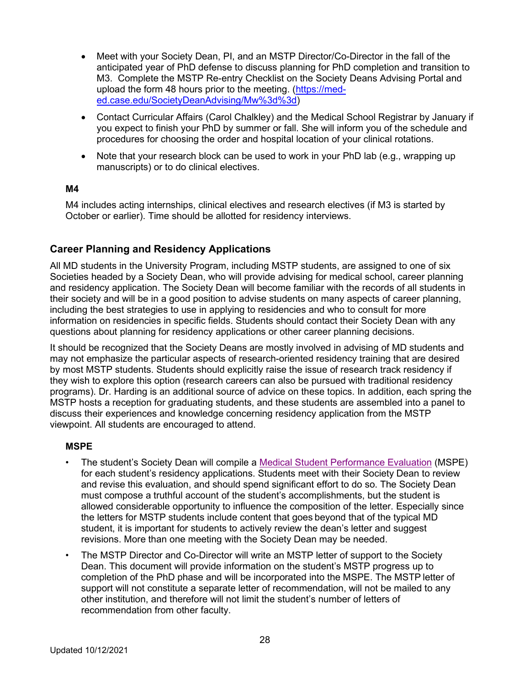- Meet with your Society Dean, PI, and an MSTP Director/Co-Director in the fall of the anticipated year of PhD defense to discuss planning for PhD completion and transition to M3. Complete the MSTP Re-entry Checklist on the Society Deans Advising Portal and upload the form 48 hours prior to the meeting. (https://meded.case.edu/SocietyDeanAdvising/Mw%3d%3d)
- Contact Curricular Affairs (Carol Chalkley) and the Medical School Registrar by January if you expect to finish your PhD by summer or fall. She will inform you of the schedule and procedures for choosing the order and hospital location of your clinical rotations.
- Note that your research block can be used to work in your PhD lab (e.g., wrapping up manuscripts) or to do clinical electives.

#### **M4**

M4 includes acting internships, clinical electives and research electives (if M3 is started by October or earlier). Time should be allotted for residency interviews.

#### **Career Planning and Residency Applications**

All MD students in the University Program, including MSTP students, are assigned to one of six Societies headed by a Society Dean, who will provide advising for medical school, career planning and residency application. The Society Dean will become familiar with the records of all students in their society and will be in a good position to advise students on many aspects of career planning, including the best strategies to use in applying to residencies and who to consult for more information on residencies in specific fields. Students should contact their Society Dean with any questions about planning for residency applications or other career planning decisions.

It should be recognized that the Society Deans are mostly involved in advising of MD students and may not emphasize the particular aspects of research-oriented residency training that are desired by most MSTP students. Students should explicitly raise the issue of research track residency if they wish to explore this option (research careers can also be pursued with traditional residency programs). Dr. Harding is an additional source of advice on these topics. In addition, each spring the MSTP hosts a reception for graduating students, and these students are assembled into a panel to discuss their experiences and knowledge concerning residency application from the MSTP viewpoint. All students are encouraged to attend.

#### **MSPE**

- The student's Society Dean will compile a Medical Student Performance Evaluation (MSPE) for each student's residency applications. Students meet with their Society Dean to review and revise this evaluation, and should spend significant effort to do so. The Society Dean must compose a truthful account of the student's accomplishments, but the student is allowed considerable opportunity to influence the composition of the letter. Especially since the letters for MSTP students include content that goes beyond that of the typical MD student, it is important for students to actively review the dean's letter and suggest revisions. More than one meeting with the Society Dean may be needed.
- The MSTP Director and Co-Director will write an MSTP letter of support to the Society Dean. This document will provide information on the student's MSTP progress up to completion of the PhD phase and will be incorporated into the MSPE. The MSTP letter of support will not constitute a separate letter of recommendation, will not be mailed to any other institution, and therefore will not limit the student's number of letters of recommendation from other faculty.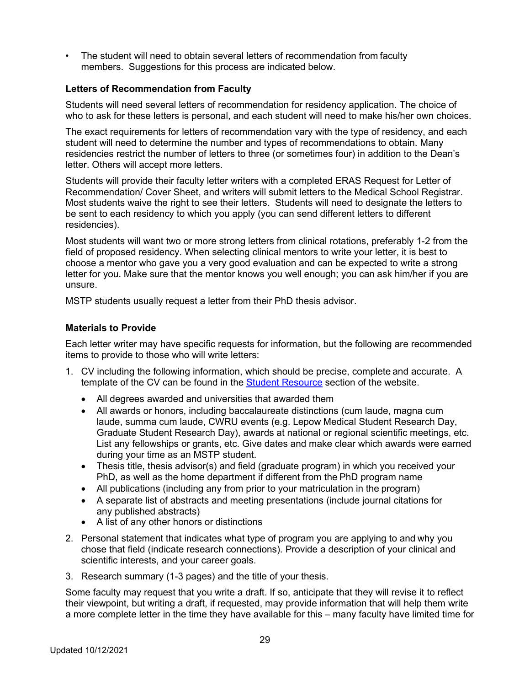• The student will need to obtain several letters of recommendation from faculty members. Suggestions for this process are indicated below.

#### **Letters of Recommendation from Faculty**

Students will need several letters of recommendation for residency application. The choice of who to ask for these letters is personal, and each student will need to make his/her own choices.

The exact requirements for letters of recommendation vary with the type of residency, and each student will need to determine the number and types of recommendations to obtain. Many residencies restrict the number of letters to three (or sometimes four) in addition to the Dean's letter. Others will accept more letters.

Students will provide their faculty letter writers with a completed ERAS Request for Letter of Recommendation/ Cover Sheet, and writers will submit letters to the Medical School Registrar. Most students waive the right to see their letters. Students will need to designate the letters to be sent to each residency to which you apply (you can send different letters to different residencies).

Most students will want two or more strong letters from clinical rotations, preferably 1-2 from the field of proposed residency. When selecting clinical mentors to write your letter, it is best to choose a mentor who gave you a very good evaluation and can be expected to write a strong letter for you. Make sure that the mentor knows you well enough; you can ask him/her if you are unsure.

MSTP students usually request a letter from their PhD thesis advisor.

#### **Materials to Provide**

Each letter writer may have specific requests for information, but the following are recommended items to provide to those who will write letters:

- 1. CV including the following information, which should be precise, complete and accurate. A template of the CV can be found in the Student Resource section of the website.
	- All degrees awarded and universities that awarded them
	- All awards or honors, including baccalaureate distinctions (cum laude, magna cum laude, summa cum laude, CWRU events (e.g. Lepow Medical Student Research Day, Graduate Student Research Day), awards at national or regional scientific meetings, etc. List any fellowships or grants, etc. Give dates and make clear which awards were earned during your time as an MSTP student.
	- Thesis title, thesis advisor(s) and field (graduate program) in which you received your PhD, as well as the home department if different from the PhD program name
	- All publications (including any from prior to your matriculation in the program)
	- A separate list of abstracts and meeting presentations (include journal citations for any published abstracts)
	- A list of any other honors or distinctions
- 2. Personal statement that indicates what type of program you are applying to and why you chose that field (indicate research connections). Provide a description of your clinical and scientific interests, and your career goals.
- 3. Research summary (1-3 pages) and the title of your thesis.

Some faculty may request that you write a draft. If so, anticipate that they will revise it to reflect their viewpoint, but writing a draft, if requested, may provide information that will help them write a more complete letter in the time they have available for this – many faculty have limited time for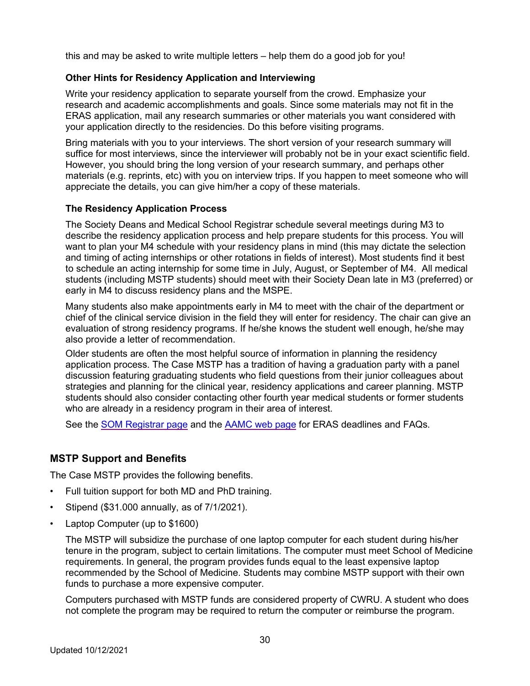this and may be asked to write multiple letters – help them do a good job for you!

#### **Other Hints for Residency Application and Interviewing**

Write your residency application to separate yourself from the crowd. Emphasize your research and academic accomplishments and goals. Since some materials may not fit in the ERAS application, mail any research summaries or other materials you want considered with your application directly to the residencies. Do this before visiting programs.

Bring materials with you to your interviews. The short version of your research summary will suffice for most interviews, since the interviewer will probably not be in your exact scientific field. However, you should bring the long version of your research summary, and perhaps other materials (e.g. reprints, etc) with you on interview trips. If you happen to meet someone who will appreciate the details, you can give him/her a copy of these materials.

#### **The Residency Application Process**

The Society Deans and Medical School Registrar schedule several meetings during M3 to describe the residency application process and help prepare students for this process. You will want to plan your M4 schedule with your residency plans in mind (this may dictate the selection and timing of acting internships or other rotations in fields of interest). Most students find it best to schedule an acting internship for some time in July, August, or September of M4. All medical students (including MSTP students) should meet with their Society Dean late in M3 (preferred) or early in M4 to discuss residency plans and the MSPE.

Many students also make appointments early in M4 to meet with the chair of the department or chief of the clinical service division in the field they will enter for residency. The chair can give an evaluation of strong residency programs. If he/she knows the student well enough, he/she may also provide a letter of recommendation.

Older students are often the most helpful source of information in planning the residency application process. The Case MSTP has a tradition of having a graduation party with a panel discussion featuring graduating students who field questions from their junior colleagues about strategies and planning for the clinical year, residency applications and career planning. MSTP students should also consider contacting other fourth year medical students or former students who are already in a residency program in their area of interest.

See the SOM Registrar page and the AAMC web page for ERAS deadlines and FAQs.

#### **MSTP Support and Benefits**

The Case MSTP provides the following benefits.

- Full tuition support for both MD and PhD training.
- Stipend (\$31.000 annually, as of 7/1/2021).
- Laptop Computer (up to \$1600)

The MSTP will subsidize the purchase of one laptop computer for each student during his/her tenure in the program, subject to certain limitations. The computer must meet School of Medicine requirements. In general, the program provides funds equal to the least expensive laptop recommended by the School of Medicine. Students may combine MSTP support with their own funds to purchase a more expensive computer.

Computers purchased with MSTP funds are considered property of CWRU. A student who does not complete the program may be required to return the computer or reimburse the program.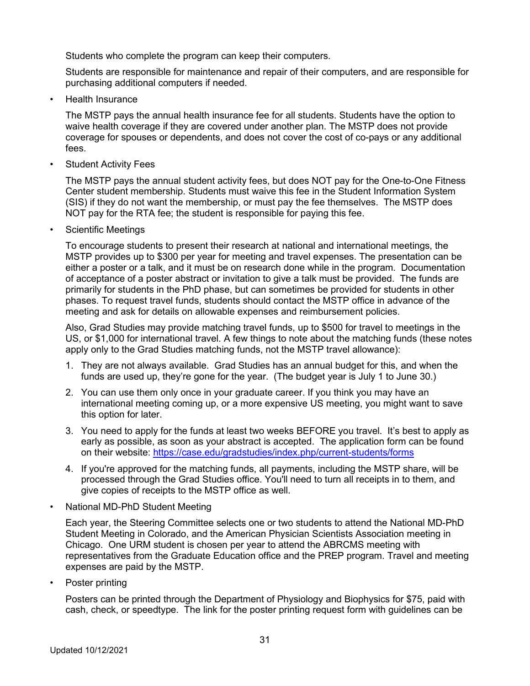Students who complete the program can keep their computers.

Students are responsible for maintenance and repair of their computers, and are responsible for purchasing additional computers if needed.

• Health Insurance

The MSTP pays the annual health insurance fee for all students. Students have the option to waive health coverage if they are covered under another plan. The MSTP does not provide coverage for spouses or dependents, and does not cover the cost of co-pays or any additional fees.

**Student Activity Fees** 

The MSTP pays the annual student activity fees, but does NOT pay for the One-to-One Fitness Center student membership. Students must waive this fee in the Student Information System (SIS) if they do not want the membership, or must pay the fee themselves. The MSTP does NOT pay for the RTA fee; the student is responsible for paying this fee.

• Scientific Meetings

To encourage students to present their research at national and international meetings, the MSTP provides up to \$300 per year for meeting and travel expenses. The presentation can be either a poster or a talk, and it must be on research done while in the program. Documentation of acceptance of a poster abstract or invitation to give a talk must be provided. The funds are primarily for students in the PhD phase, but can sometimes be provided for students in other phases. To request travel funds, students should contact the MSTP office in advance of the meeting and ask for details on allowable expenses and reimbursement policies.

Also, Grad Studies may provide matching travel funds, up to \$500 for travel to meetings in the US, or \$1,000 for international travel. A few things to note about the matching funds (these notes apply only to the Grad Studies matching funds, not the MSTP travel allowance):

- 1. They are not always available. Grad Studies has an annual budget for this, and when the funds are used up, they're gone for the year. (The budget year is July 1 to June 30.)
- 2. You can use them only once in your graduate career. If you think you may have an international meeting coming up, or a more expensive US meeting, you might want to save this option for later.
- 3. You need to apply for the funds at least two weeks BEFORE you travel. It's best to apply as early as possible, as soon as your abstract is accepted. The application form can be found on their website: https://case.edu/gradstudies/index.php/current-students/forms
- 4. If you're approved for the matching funds, all payments, including the MSTP share, will be processed through the Grad Studies office. You'll need to turn all receipts in to them, and give copies of receipts to the MSTP office as well.
- National MD-PhD Student Meeting

Each year, the Steering Committee selects one or two students to attend the National MD-PhD Student Meeting in Colorado, and the American Physician Scientists Association meeting in Chicago. One URM student is chosen per year to attend the ABRCMS meeting with representatives from the Graduate Education office and the PREP program. Travel and meeting expenses are paid by the MSTP.

• Poster printing

Posters can be printed through the Department of Physiology and Biophysics for \$75, paid with cash, check, or speedtype. The link for the poster printing request form with guidelines can be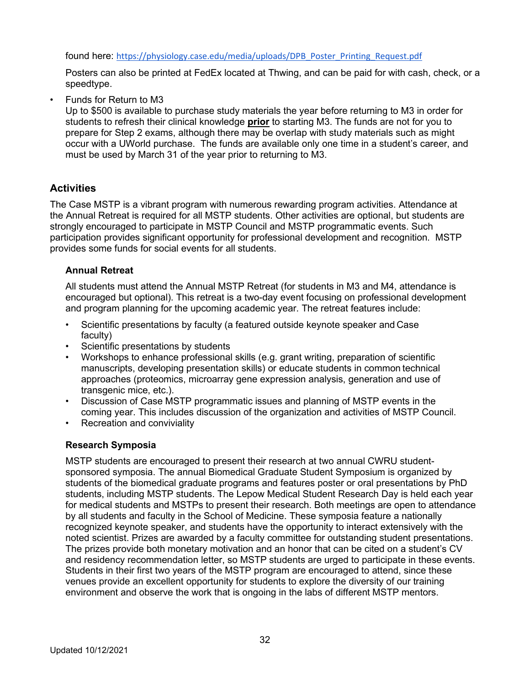found here: https://physiology.case.edu/media/uploads/DPB\_Poster\_Printing\_Request.pdf

Posters can also be printed at FedEx located at Thwing, and can be paid for with cash, check, or a speedtype.

• Funds for Return to M3

Up to \$500 is available to purchase study materials the year before returning to M3 in order for students to refresh their clinical knowledge **prior** to starting M3. The funds are not for you to prepare for Step 2 exams, although there may be overlap with study materials such as might occur with a UWorld purchase. The funds are available only one time in a student's career, and must be used by March 31 of the year prior to returning to M3.

# **Activities**

The Case MSTP is a vibrant program with numerous rewarding program activities. Attendance at the Annual Retreat is required for all MSTP students. Other activities are optional, but students are strongly encouraged to participate in MSTP Council and MSTP programmatic events. Such participation provides significant opportunity for professional development and recognition. MSTP provides some funds for social events for all students.

# **Annual Retreat**

All students must attend the Annual MSTP Retreat (for students in M3 and M4, attendance is encouraged but optional). This retreat is a two-day event focusing on professional development and program planning for the upcoming academic year. The retreat features include:

- Scientific presentations by faculty (a featured outside keynote speaker and Case faculty)
- Scientific presentations by students
- Workshops to enhance professional skills (e.g. grant writing, preparation of scientific manuscripts, developing presentation skills) or educate students in common technical approaches (proteomics, microarray gene expression analysis, generation and use of transgenic mice, etc.).
- Discussion of Case MSTP programmatic issues and planning of MSTP events in the coming year. This includes discussion of the organization and activities of MSTP Council.
- Recreation and conviviality

# **Research Symposia**

MSTP students are encouraged to present their research at two annual CWRU studentsponsored symposia. The annual Biomedical Graduate Student Symposium is organized by students of the biomedical graduate programs and features poster or oral presentations by PhD students, including MSTP students. The Lepow Medical Student Research Day is held each year for medical students and MSTPs to present their research. Both meetings are open to attendance by all students and faculty in the School of Medicine. These symposia feature a nationally recognized keynote speaker, and students have the opportunity to interact extensively with the noted scientist. Prizes are awarded by a faculty committee for outstanding student presentations. The prizes provide both monetary motivation and an honor that can be cited on a student's CV and residency recommendation letter, so MSTP students are urged to participate in these events. Students in their first two years of the MSTP program are encouraged to attend, since these venues provide an excellent opportunity for students to explore the diversity of our training environment and observe the work that is ongoing in the labs of different MSTP mentors.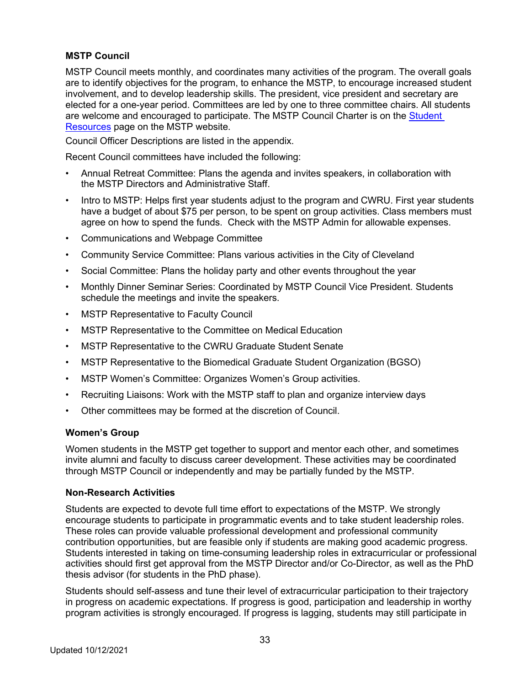#### **MSTP Council**

MSTP Council meets monthly, and coordinates many activities of the program. The overall goals are to identify objectives for the program, to enhance the MSTP, to encourage increased student involvement, and to develop leadership skills. The president, vice president and secretary are elected for a one-year period. Committees are led by one to three committee chairs. All students are welcome and encouraged to participate. The MSTP Council Charter is on the Student Resources page on the MSTP website.

Council Officer Descriptions are listed in the appendix.

Recent Council committees have included the following:

- Annual Retreat Committee: Plans the agenda and invites speakers, in collaboration with the MSTP Directors and Administrative Staff.
- Intro to MSTP: Helps first year students adjust to the program and CWRU. First year students have a budget of about \$75 per person, to be spent on group activities. Class members must agree on how to spend the funds. Check with the MSTP Admin for allowable expenses.
- Communications and Webpage Committee
- Community Service Committee: Plans various activities in the City of Cleveland
- Social Committee: Plans the holiday party and other events throughout the year
- Monthly Dinner Seminar Series: Coordinated by MSTP Council Vice President. Students schedule the meetings and invite the speakers.
- MSTP Representative to Faculty Council
- MSTP Representative to the Committee on Medical Education
- MSTP Representative to the CWRU Graduate Student Senate
- MSTP Representative to the Biomedical Graduate Student Organization (BGSO)
- MSTP Women's Committee: Organizes Women's Group activities.
- Recruiting Liaisons: Work with the MSTP staff to plan and organize interview days
- Other committees may be formed at the discretion of Council.

#### **Women's Group**

Women students in the MSTP get together to support and mentor each other, and sometimes invite alumni and faculty to discuss career development. These activities may be coordinated through MSTP Council or independently and may be partially funded by the MSTP.

#### **Non-Research Activities**

Students are expected to devote full time effort to expectations of the MSTP. We strongly encourage students to participate in programmatic events and to take student leadership roles. These roles can provide valuable professional development and professional community contribution opportunities, but are feasible only if students are making good academic progress. Students interested in taking on time-consuming leadership roles in extracurricular or professional activities should first get approval from the MSTP Director and/or Co-Director, as well as the PhD thesis advisor (for students in the PhD phase).

Students should self-assess and tune their level of extracurricular participation to their trajectory in progress on academic expectations. If progress is good, participation and leadership in worthy program activities is strongly encouraged. If progress is lagging, students may still participate in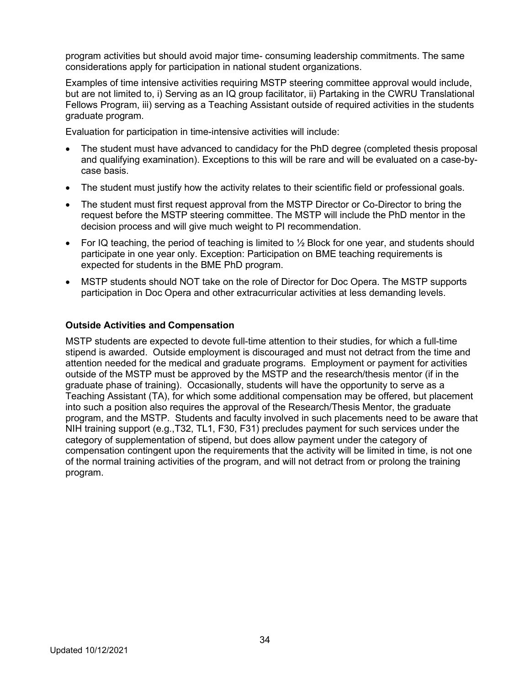program activities but should avoid major time- consuming leadership commitments. The same considerations apply for participation in national student organizations.

Examples of time intensive activities requiring MSTP steering committee approval would include, but are not limited to, i) Serving as an IQ group facilitator, ii) Partaking in the CWRU Translational Fellows Program, iii) serving as a Teaching Assistant outside of required activities in the students graduate program.

Evaluation for participation in time-intensive activities will include:

- The student must have advanced to candidacy for the PhD degree (completed thesis proposal and qualifying examination). Exceptions to this will be rare and will be evaluated on a case-bycase basis.
- The student must justify how the activity relates to their scientific field or professional goals.
- The student must first request approval from the MSTP Director or Co-Director to bring the request before the MSTP steering committee. The MSTP will include the PhD mentor in the decision process and will give much weight to PI recommendation.
- For IQ teaching, the period of teaching is limited to  $\frac{1}{2}$  Block for one year, and students should participate in one year only. Exception: Participation on BME teaching requirements is expected for students in the BME PhD program.
- MSTP students should NOT take on the role of Director for Doc Opera. The MSTP supports participation in Doc Opera and other extracurricular activities at less demanding levels.

#### **Outside Activities and Compensation**

MSTP students are expected to devote full-time attention to their studies, for which a full-time stipend is awarded. Outside employment is discouraged and must not detract from the time and attention needed for the medical and graduate programs. Employment or payment for activities outside of the MSTP must be approved by the MSTP and the research/thesis mentor (if in the graduate phase of training). Occasionally, students will have the opportunity to serve as a Teaching Assistant (TA), for which some additional compensation may be offered, but placement into such a position also requires the approval of the Research/Thesis Mentor, the graduate program, and the MSTP. Students and faculty involved in such placements need to be aware that NIH training support (e.g.,T32, TL1, F30, F31) precludes payment for such services under the category of supplementation of stipend, but does allow payment under the category of compensation contingent upon the requirements that the activity will be limited in time, is not one of the normal training activities of the program, and will not detract from or prolong the training program.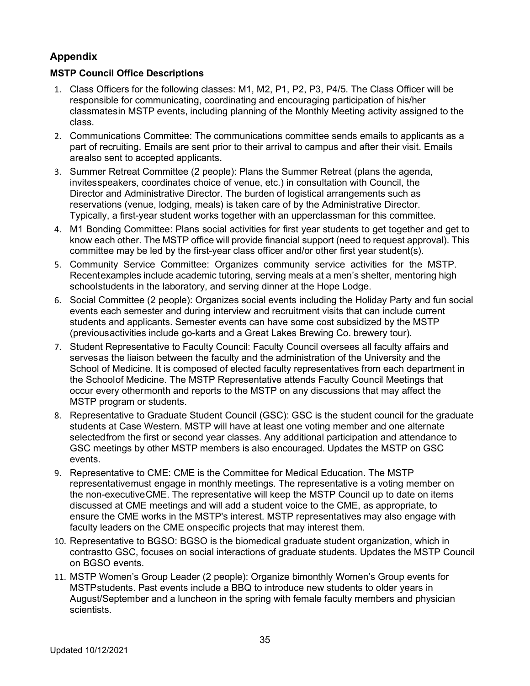# **Appendix**

# **MSTP Council Office Descriptions**

- 1. Class Officers for the following classes: M1, M2, P1, P2, P3, P4/5. The Class Officer will be responsible for communicating, coordinating and encouraging participation of his/her classmatesin MSTP events, including planning of the Monthly Meeting activity assigned to the class.
- 2. Communications Committee: The communications committee sends emails to applicants as a part of recruiting. Emails are sent prior to their arrival to campus and after their visit. Emails arealso sent to accepted applicants.
- 3. Summer Retreat Committee (2 people): Plans the Summer Retreat (plans the agenda, invitesspeakers, coordinates choice of venue, etc.) in consultation with Council, the Director and Administrative Director. The burden of logistical arrangements such as reservations (venue, lodging, meals) is taken care of by the Administrative Director. Typically, a first-year student works together with an upperclassman for this committee.
- 4. M1 Bonding Committee: Plans social activities for first year students to get together and get to know each other. The MSTP office will provide financial support (need to request approval). This committee may be led by the first-year class officer and/or other first year student(s).
- 5. Community Service Committee: Organizes community service activities for the MSTP. Recentexamples include academic tutoring, serving meals at a men's shelter, mentoring high schoolstudents in the laboratory, and serving dinner at the Hope Lodge.
- 6. Social Committee (2 people): Organizes social events including the Holiday Party and fun social events each semester and during interview and recruitment visits that can include current students and applicants. Semester events can have some cost subsidized by the MSTP (previousactivities include go-karts and a Great Lakes Brewing Co. brewery tour).
- 7. Student Representative to Faculty Council: Faculty Council oversees all faculty affairs and servesas the liaison between the faculty and the administration of the University and the School of Medicine. It is composed of elected faculty representatives from each department in the Schoolof Medicine. The MSTP Representative attends Faculty Council Meetings that occur every othermonth and reports to the MSTP on any discussions that may affect the MSTP program or students.
- 8. Representative to Graduate Student Council (GSC): GSC is the student council for the graduate students at Case Western. MSTP will have at least one voting member and one alternate selectedfrom the first or second year classes. Any additional participation and attendance to GSC meetings by other MSTP members is also encouraged. Updates the MSTP on GSC events.
- 9. Representative to CME: CME is the Committee for Medical Education. The MSTP representativemust engage in monthly meetings. The representative is a voting member on the non-executiveCME. The representative will keep the MSTP Council up to date on items discussed at CME meetings and will add a student voice to the CME, as appropriate, to ensure the CME works in the MSTP's interest. MSTP representatives may also engage with faculty leaders on the CME onspecific projects that may interest them.
- 10. Representative to BGSO: BGSO is the biomedical graduate student organization, which in contrastto GSC, focuses on social interactions of graduate students. Updates the MSTP Council on BGSO events.
- 11. MSTP Women's Group Leader (2 people): Organize bimonthly Women's Group events for MSTPstudents. Past events include a BBQ to introduce new students to older years in August/September and a luncheon in the spring with female faculty members and physician scientists.